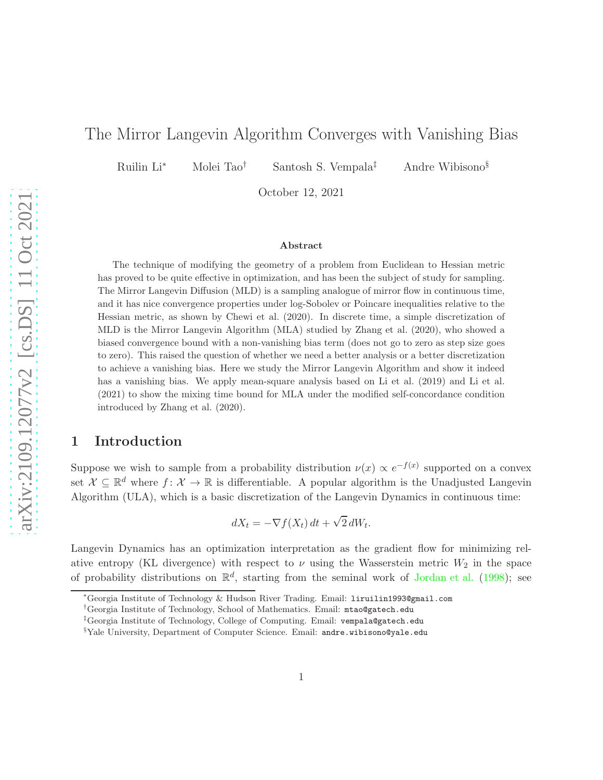# The Mirror Langevin Algorithm Converges with Vanishing Bias

Ruilin Li<sup>∗</sup> Molei Tao† Santosh S. Vempala‡ Andre Wibisono§

October 12, 2021

#### Abstract

The technique of modifying the geometry of a problem from Euclidean to Hessian metric has proved to be quite effective in optimization, and has been the subject of study for sampling. The Mirror Langevin Diffusion (MLD) is a sampling analogue of mirror flow in continuous time, and it has nice convergence properties under log-Sobolev or Poincare inequalities relative to the Hessian metric, as shown by Chewi et al. (2020). In discrete time, a simple discretization of MLD is the Mirror Langevin Algorithm (MLA) studied by Zhang et al. (2020), who showed a biased convergence bound with a non-vanishing bias term (does not go to zero as step size goes to zero). This raised the question of whether we need a better analysis or a better discretization to achieve a vanishing bias. Here we study the Mirror Langevin Algorithm and show it indeed has a vanishing bias. We apply mean-square analysis based on Li et al. (2019) and Li et al. (2021) to show the mixing time bound for MLA under the modified self-concordance condition introduced by Zhang et al. (2020).

## 1 Introduction

Suppose we wish to sample from a probability distribution  $\nu(x) \propto e^{-f(x)}$  supported on a convex set  $\mathcal{X} \subseteq \mathbb{R}^d$  where  $f: \mathcal{X} \to \mathbb{R}$  is differentiable. A popular algorithm is the Unadjusted Langevin Algorithm (ULA), which is a basic discretization of the Langevin Dynamics in continuous time:

$$
dX_t = -\nabla f(X_t) dt + \sqrt{2} dW_t.
$$

Langevin Dynamics has an optimization interpretation as the gradient flow for minimizing relative entropy (KL divergence) with respect to  $\nu$  using the Wasserstein metric  $W_2$  in the space of probability distributions on  $\mathbb{R}^d$ , starting from the seminal work of [Jordan et al.](#page-13-0) [\(1998](#page-13-0)); see

<sup>∗</sup>Georgia Institute of Technology & Hudson River Trading. Email: liruilin1993@gmail.com

<sup>†</sup>Georgia Institute of Technology, School of Mathematics. Email: mtao@gatech.edu

<sup>‡</sup>Georgia Institute of Technology, College of Computing. Email: vempala@gatech.edu

<sup>§</sup>Yale University, Department of Computer Science. Email: andre.wibisono@yale.edu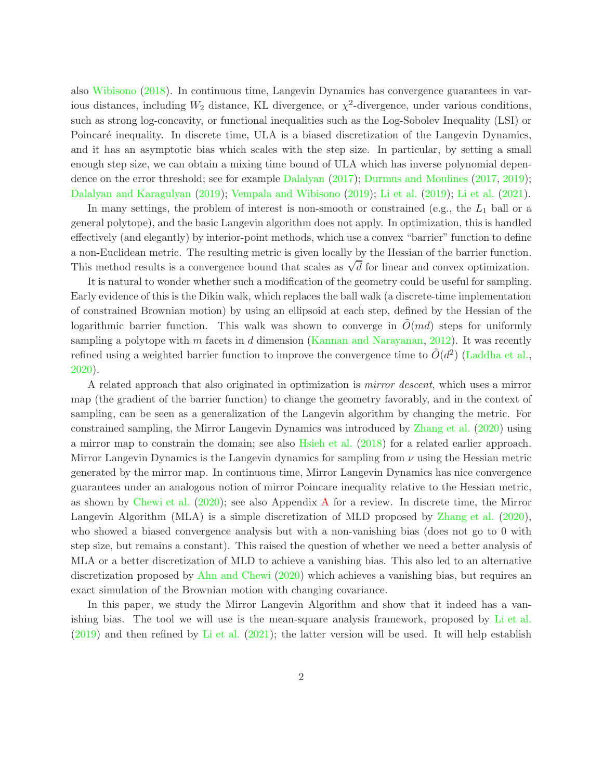also [Wibisono](#page-14-0) [\(2018](#page-14-0)). In continuous time, Langevin Dynamics has convergence guarantees in various distances, including  $W_2$  distance, KL divergence, or  $\chi^2$ -divergence, under various conditions, such as strong log-concavity, or functional inequalities such as the Log-Sobolev Inequality (LSI) or Poincaré inequality. In discrete time, ULA is a biased discretization of the Langevin Dynamics, and it has an asymptotic bias which scales with the step size. In particular, by setting a small enough step size, we can obtain a mixing time bound of ULA which has inverse polynomial dependence on the error threshold; see for example [Dalalyan](#page-13-1) [\(2017](#page-13-1)); [Durmus and Moulines](#page-13-2) [\(2017](#page-13-2), [2019\)](#page-13-3); [Dalalyan and Karagulyan](#page-13-4) [\(2019](#page-13-4)); [Vempala and Wibisono](#page-14-1) [\(2019](#page-14-1)); [Li et al.](#page-14-2) [\(2019](#page-14-2)); [Li et al.](#page-14-3) [\(2021\)](#page-14-3).

In many settings, the problem of interest is non-smooth or constrained (e.g., the  $L_1$  ball or a general polytope), and the basic Langevin algorithm does not apply. In optimization, this is handled effectively (and elegantly) by interior-point methods, which use a convex "barrier" function to define a non-Euclidean metric. The resulting metric is given locally by the Hessian of the barrier function. This method results is a convergence bound that scales as  $\sqrt{d}$  for linear and convex optimization.

It is natural to wonder whether such a modification of the geometry could be useful for sampling. Early evidence of this is the Dikin walk, which replaces the ball walk (a discrete-time implementation of constrained Brownian motion) by using an ellipsoid at each step, defined by the Hessian of the logarithmic barrier function. This walk was shown to converge in  $\ddot{O}(md)$  steps for uniformly sampling a polytope with m facets in d dimension [\(Kannan and Narayanan](#page-13-5), [2012](#page-13-5)). It was recently refined using a weighted barrier function to improve the convergence time to  $\tilde{O}(d^2)$  [\(Laddha et al.](#page-13-6), [2020\)](#page-13-6).

A related approach that also originated in optimization is mirror descent, which uses a mirror map (the gradient of the barrier function) to change the geometry favorably, and in the context of sampling, can be seen as a generalization of the Langevin algorithm by changing the metric. For constrained sampling, the Mirror Langevin Dynamics was introduced by [Zhang et al.](#page-14-4) [\(2020](#page-14-4)) using a mirror map to constrain the domain; see also [Hsieh et al.](#page-13-7) [\(2018](#page-13-7)) for a related earlier approach. Mirror Langevin Dynamics is the Langevin dynamics for sampling from  $\nu$  using the Hessian metric generated by the mirror map. In continuous time, Mirror Langevin Dynamics has nice convergence guarantees under an analogous notion of mirror Poincare inequality relative to the Hessian metric, as shown by [Chewi et al.](#page-13-8) [\(2020](#page-13-8)); see also Appendix [A](#page-15-0) for a review. In discrete time, the Mirror Langevin Algorithm (MLA) is a simple discretization of MLD proposed by [Zhang et al.](#page-14-4) [\(2020](#page-14-4)), who showed a biased convergence analysis but with a non-vanishing bias (does not go to 0 with step size, but remains a constant). This raised the question of whether we need a better analysis of MLA or a better discretization of MLD to achieve a vanishing bias. This also led to an alternative discretization proposed by [Ahn and Chewi](#page-13-9) [\(2020\)](#page-13-9) which achieves a vanishing bias, but requires an exact simulation of the Brownian motion with changing covariance.

In this paper, we study the Mirror Langevin Algorithm and show that it indeed has a vanishing bias. The tool we will use is the mean-square analysis framework, proposed by [Li et al.](#page-14-2) [\(2019](#page-14-2)) and then refined by [Li et al.](#page-14-3) [\(2021\)](#page-14-3); the latter version will be used. It will help establish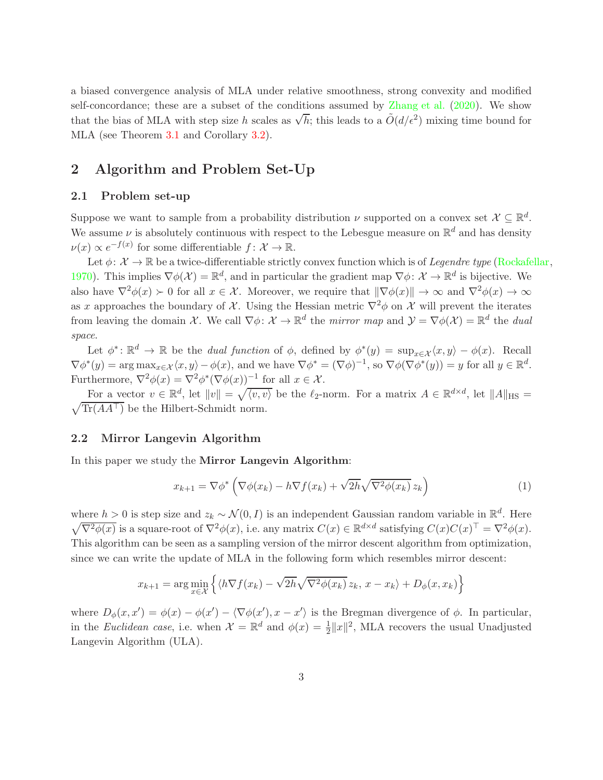a biased convergence analysis of MLA under relative smoothness, strong convexity and modified self-concordance; these are a subset of the conditions assumed by [Zhang et al.](#page-14-4) [\(2020\)](#page-14-4). We show that the bias of MLA with step size h scales as  $\sqrt{h}$ ; this leads to a  $O(d/\epsilon^2)$  mixing time bound for MLA (see Theorem [3.1](#page-5-0) and Corollary [3.2\)](#page-5-1).

# <span id="page-2-1"></span>2 Algorithm and Problem Set-Up

## 2.1 Problem set-up

Suppose we want to sample from a probability distribution  $\nu$  supported on a convex set  $\mathcal{X} \subseteq \mathbb{R}^d$ . We assume  $\nu$  is absolutely continuous with respect to the Lebesgue measure on  $\mathbb{R}^d$  and has density  $\nu(x) \propto e^{-f(x)}$  for some differentiable  $f: \mathcal{X} \to \mathbb{R}$ .

Let  $\phi: \mathcal{X} \to \mathbb{R}$  be a twice-differentiable strictly convex function which is of *Legendre type* [\(Rockafellar](#page-14-5), [1970\)](#page-14-5). This implies  $\nabla \phi(\mathcal{X}) = \mathbb{R}^d$ , and in particular the gradient map  $\nabla \phi: \mathcal{X} \to \mathbb{R}^d$  is bijective. We also have  $\nabla^2 \phi(x) \succ 0$  for all  $x \in \mathcal{X}$ . Moreover, we require that  $\|\nabla \phi(x)\| \to \infty$  and  $\nabla^2 \phi(x) \to \infty$ as x approaches the boundary of X. Using the Hessian metric  $\nabla^2 \phi$  on X will prevent the iterates from leaving the domain X. We call  $\nabla \phi: \mathcal{X} \to \mathbb{R}^d$  the *mirror map* and  $\mathcal{Y} = \nabla \phi(\mathcal{X}) = \mathbb{R}^d$  the *dual* space.

Let  $\phi^*: \mathbb{R}^d \to \mathbb{R}$  be the *dual function* of  $\phi$ , defined by  $\phi^*(y) = \sup_{x \in \mathcal{X}} \langle x, y \rangle - \phi(x)$ . Recall  $\nabla \phi^*(y) = \arg \max_{x \in \mathcal{X}} \langle x, y \rangle - \phi(x)$ , and we have  $\nabla \phi^* = (\nabla \phi)^{-1}$ , so  $\nabla \phi(\nabla \phi^*(y)) = y$  for all  $y \in \mathbb{R}^d$ . Furthermore,  $\nabla^2 \phi(x) = \nabla^2 \phi^*(\nabla \phi(x))^{-1}$  for all  $x \in \mathcal{X}$ .

For a vector  $v \in \mathbb{R}^d$ , let  $||v|| = \sqrt{\langle v, v \rangle}$  be the  $\ell_2$ -norm. For a matrix  $A \in \mathbb{R}^{d \times d}$ , let  $||A||_{\text{HS}} =$  $\sqrt{\text{Tr}(AA^{\top})}$  be the Hilbert-Schmidt norm.

### 2.2 Mirror Langevin Algorithm

In this paper we study the Mirror Langevin Algorithm:

<span id="page-2-0"></span>
$$
x_{k+1} = \nabla \phi^* \left( \nabla \phi(x_k) - h \nabla f(x_k) + \sqrt{2h} \sqrt{\nabla^2 \phi(x_k)} \, z_k \right) \tag{1}
$$

where  $h > 0$  is step size and  $z_k \sim \mathcal{N}(0, I)$  is an independent Gaussian random variable in  $\mathbb{R}^d$ . Here  $\sqrt{\nabla^2 \phi(x)}$  is a square-root of  $\nabla^2 \phi(x)$ , i.e. any matrix  $C(x) \in \mathbb{R}^{d \times d}$  satisfying  $C(x)C(x)^\top = \nabla^2 \phi(x)$ . This algorithm can be seen as a sampling version of the mirror descent algorithm from optimization, since we can write the update of MLA in the following form which resembles mirror descent:

$$
x_{k+1} = \arg\min_{x \in \mathcal{X}} \left\{ \langle h \nabla f(x_k) - \sqrt{2h} \sqrt{\nabla^2 \phi(x_k)} \, z_k, \, x - x_k \rangle + D_{\phi}(x, x_k) \right\}
$$

where  $D_{\phi}(x, x') = \phi(x) - \phi(x') - \langle \nabla \phi(x', x - x' \rangle)$  is the Bregman divergence of  $\phi$ . In particular, in the Euclidean case, i.e. when  $\mathcal{X} = \mathbb{R}^d$  and  $\phi(x) = \frac{1}{2} ||x||^2$ , MLA recovers the usual Unadjusted Langevin Algorithm (ULA).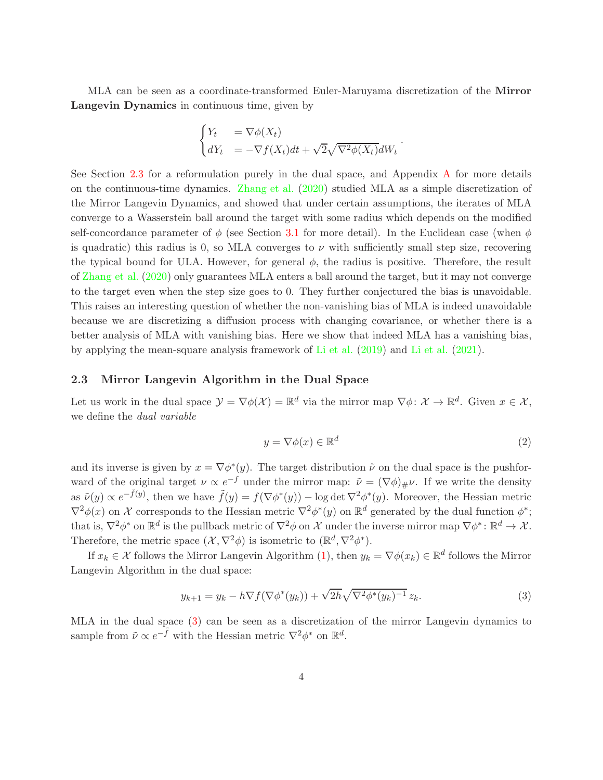MLA can be seen as a coordinate-transformed Euler-Maruyama discretization of the Mirror Langevin Dynamics in continuous time, given by

$$
\begin{cases} Y_t &= \nabla \phi(X_t) \\ dY_t &= -\nabla f(X_t)dt + \sqrt{2}\sqrt{\nabla^2 \phi(X_t)}dW_t \end{cases}.
$$

See Section [2.3](#page-3-0) for a reformulation purely in the dual space, and Appendix [A](#page-15-0) for more details on the continuous-time dynamics. [Zhang et al.](#page-14-4) [\(2020\)](#page-14-4) studied MLA as a simple discretization of the Mirror Langevin Dynamics, and showed that under certain assumptions, the iterates of MLA converge to a Wasserstein ball around the target with some radius which depends on the modified self-concordance parameter of  $\phi$  (see Section [3.1](#page-6-0) for more detail). In the Euclidean case (when  $\phi$ is quadratic) this radius is 0, so MLA converges to  $\nu$  with sufficiently small step size, recovering the typical bound for ULA. However, for general  $\phi$ , the radius is positive. Therefore, the result of [Zhang et al.](#page-14-4) [\(2020\)](#page-14-4) only guarantees MLA enters a ball around the target, but it may not converge to the target even when the step size goes to 0. They further conjectured the bias is unavoidable. This raises an interesting question of whether the non-vanishing bias of MLA is indeed unavoidable because we are discretizing a diffusion process with changing covariance, or whether there is a better analysis of MLA with vanishing bias. Here we show that indeed MLA has a vanishing bias, by applying the mean-square analysis framework of [Li et al.](#page-14-2) [\(2019](#page-14-2)) and [Li et al.](#page-14-3) [\(2021](#page-14-3)).

#### <span id="page-3-0"></span>2.3 Mirror Langevin Algorithm in the Dual Space

Let us work in the dual space  $\mathcal{Y} = \nabla \phi(\mathcal{X}) = \mathbb{R}^d$  via the mirror map  $\nabla \phi \colon \mathcal{X} \to \mathbb{R}^d$ . Given  $x \in \mathcal{X}$ , we define the dual variable

<span id="page-3-1"></span>
$$
y = \nabla \phi(x) \in \mathbb{R}^d \tag{2}
$$

and its inverse is given by  $x = \nabla \phi^*(y)$ . The target distribution  $\tilde{\nu}$  on the dual space is the pushforward of the original target  $\nu \propto e^{-f}$  under the mirror map:  $\tilde{\nu} = (\nabla \phi)_{\#} \nu$ . If we write the density as  $\tilde{\nu}(y) \propto e^{-\tilde{f}(y)}$ , then we have  $\tilde{f}(y) = f(\nabla \phi^*(y)) - \log \det \nabla^2 \phi^*(y)$ . Moreover, the Hessian metric  $\nabla^2 \phi(x)$  on X corresponds to the Hessian metric  $\nabla^2 \phi^*(y)$  on  $\mathbb{R}^d$  generated by the dual function  $\phi^*$ ; that is,  $\nabla^2 \phi^*$  on  $\mathbb{R}^d$  is the pullback metric of  $\nabla^2 \phi$  on X under the inverse mirror map  $\nabla \phi^* \colon \mathbb{R}^d \to \mathcal{X}$ . Therefore, the metric space  $(\mathcal{X}, \nabla^2 \phi)$  is isometric to  $(\mathbb{R}^d, \nabla^2 \phi^*)$ .

If  $x_k \in \mathcal{X}$  follows the Mirror Langevin Algorithm [\(1\)](#page-2-0), then  $y_k = \nabla \phi(x_k) \in \mathbb{R}^d$  follows the Mirror Langevin Algorithm in the dual space:

$$
y_{k+1} = y_k - h \nabla f(\nabla \phi^*(y_k)) + \sqrt{2h} \sqrt{\nabla^2 \phi^*(y_k)^{-1}} z_k.
$$
 (3)

MLA in the dual space [\(3\)](#page-3-1) can be seen as a discretization of the mirror Langevin dynamics to sample from  $\tilde{\nu} \propto e^{-\tilde{f}}$  with the Hessian metric  $\nabla^2 \phi^*$  on  $\mathbb{R}^d$ .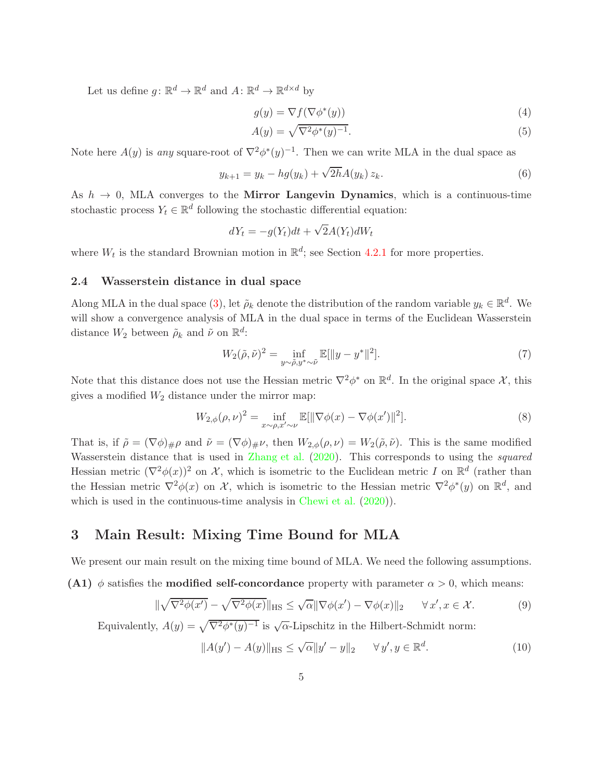Let us define  $g \colon \mathbb{R}^d \to \mathbb{R}^d$  and  $A \colon \mathbb{R}^d \to \mathbb{R}^{d \times d}$  by

<span id="page-4-1"></span><span id="page-4-0"></span>
$$
g(y) = \nabla f(\nabla \phi^*(y))
$$
\n(4)

$$
A(y) = \sqrt{\nabla^2 \phi^*(y)^{-1}}.
$$
\n<sup>(5)</sup>

Note here  $A(y)$  is any square-root of  $\nabla^2 \phi^*(y)^{-1}$ . Then we can write MLA in the dual space as

$$
y_{k+1} = y_k - h g(y_k) + \sqrt{2h} A(y_k) z_k.
$$
 (6)

As  $h \to 0$ , MLA converges to the Mirror Langevin Dynamics, which is a continuous-time stochastic process  $Y_t \in \mathbb{R}^d$  following the stochastic differential equation:

$$
dY_t = -g(Y_t)dt + \sqrt{2}A(Y_t)dW_t
$$

where  $W_t$  is the standard Brownian motion in  $\mathbb{R}^d$ ; see Section [4.2.1](#page-9-0) for more properties.

## 2.4 Wasserstein distance in dual space

Along MLA in the dual space [\(3\)](#page-3-1), let  $\tilde{\rho}_k$  denote the distribution of the random variable  $y_k \in \mathbb{R}^d$ . We will show a convergence analysis of MLA in the dual space in terms of the Euclidean Wasserstein distance  $W_2$  between  $\tilde{\rho}_k$  and  $\tilde{\nu}$  on  $\mathbb{R}^d$ :

$$
W_2(\tilde{\rho}, \tilde{\nu})^2 = \inf_{y \sim \tilde{\rho}, y^* \sim \tilde{\nu}} \mathbb{E}[\|y - y^*\|^2].
$$
 (7)

Note that this distance does not use the Hessian metric  $\nabla^2 \phi^*$  on  $\mathbb{R}^d$ . In the original space X, this gives a modified  $W_2$  distance under the mirror map:

$$
W_{2,\phi}(\rho,\nu)^2 = \inf_{x \sim \rho, x' \sim \nu} \mathbb{E}[\|\nabla \phi(x) - \nabla \phi(x')\|^2].
$$
 (8)

That is, if  $\tilde{\rho} = (\nabla \phi)_{\#} \rho$  and  $\tilde{\nu} = (\nabla \phi)_{\#} \nu$ , then  $W_{2,\phi}(\rho,\nu) = W_2(\tilde{\rho},\tilde{\nu})$ . This is the same modified Wasserstein distance that is used in [Zhang et al.](#page-14-4) [\(2020](#page-14-4)). This corresponds to using the *squared* Hessian metric  $(\nabla^2 \phi(x))^2$  on X, which is isometric to the Euclidean metric I on  $\mathbb{R}^d$  (rather than the Hessian metric  $\nabla^2 \phi(x)$  on X, which is isometric to the Hessian metric  $\nabla^2 \phi^*(y)$  on  $\mathbb{R}^d$ , and which is used in the continuous-time analysis in [Chewi et al.](#page-13-8)  $(2020)$  $(2020)$ ).

## 3 Main Result: Mixing Time Bound for MLA

We present our main result on the mixing time bound of MLA. We need the following assumptions.

(A1)  $\phi$  satisfies the **modified self-concordance** property with parameter  $\alpha > 0$ , which means:

$$
\|\sqrt{\nabla^2\phi(x')} - \sqrt{\nabla^2\phi(x)}\|_{\text{HS}} \le \sqrt{\alpha}\|\nabla\phi(x') - \nabla\phi(x)\|_2 \quad \forall x', x \in \mathcal{X}.
$$
 (9)

Equivalently,  $A(y) = \sqrt{\nabla^2 \phi^*(y)^{-1}}$  is  $\sqrt{\alpha}$ -Lipschitz in the Hilbert-Schmidt norm:

$$
||A(y') - A(y)||_{\text{HS}} \le \sqrt{\alpha}||y' - y||_2 \quad \forall y', y \in \mathbb{R}^d.
$$
 (10)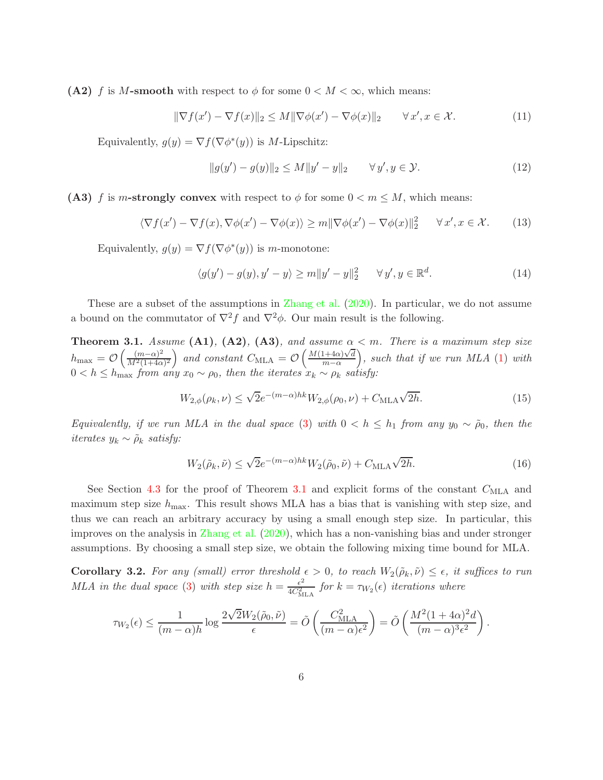(A2) f is M-smooth with respect to  $\phi$  for some  $0 < M < \infty$ , which means:

$$
\|\nabla f(x') - \nabla f(x)\|_2 \le M \|\nabla \phi(x') - \nabla \phi(x)\|_2 \qquad \forall x', x \in \mathcal{X}.
$$
 (11)

Equivalently,  $g(y) = \nabla f(\nabla \phi^*(y))$  is M-Lipschitz:

$$
||g(y') - g(y)||_2 \le M||y' - y||_2 \qquad \forall y', y \in \mathcal{Y}.
$$
 (12)

(A3) f is m-strongly convex with respect to  $\phi$  for some  $0 < m \leq M$ , which means:

$$
\langle \nabla f(x') - \nabla f(x), \nabla \phi(x') - \nabla \phi(x) \rangle \ge m \|\nabla \phi(x') - \nabla \phi(x)\|_2^2 \quad \forall x', x \in \mathcal{X}.
$$
 (13)

Equivalently,  $g(y) = \nabla f(\nabla \phi^*(y))$  is m-monotone:

$$
\langle g(y') - g(y), y' - y \rangle \ge m \|y' - y\|_2^2 \quad \forall y', y \in \mathbb{R}^d.
$$
 (14)

These are a subset of the assumptions in [Zhang et al.](#page-14-4) [\(2020](#page-14-4)). In particular, we do not assume a bound on the commutator of  $\nabla^2 f$  and  $\nabla^2 \phi$ . Our main result is the following.

<span id="page-5-0"></span>**Theorem 3.1.** Assume (A1), (A2), (A3), and assume  $\alpha < m$ . There is a maximum step size  $h_{\text{max}} = \mathcal{O}\left(\frac{(m-\alpha)^2}{M^2(1+4\alpha)}\right)$  $\frac{(m-\alpha)^2}{M^2(1+4\alpha)^2}$  and constant  $C_{\text{MLA}} = \mathcal{O}\left(\frac{M(1+4\alpha)\sqrt{d}}{m-\alpha}\right)$  $m-\alpha$  $\big)$ , such that if we run MLA  $(1)$  with  $0 < h \leq h_{\text{max}}$  from any  $x_0 \sim \rho_0$ , then the iterates  $x_k \sim \rho_k$  satisfy:

$$
W_{2,\phi}(\rho_k,\nu) \le \sqrt{2}e^{-(m-\alpha)hk}W_{2,\phi}(\rho_0,\nu) + C_{\text{MLA}}\sqrt{2h}.
$$
\n(15)

Equivalently, if we run MLA in the dual space [\(3\)](#page-3-1) with  $0 < h \le h_1$  from any  $y_0 \sim \tilde{\rho}_0$ , then the iterates  $y_k \sim \tilde{\rho}_k$  satisfy:

$$
W_2(\tilde{\rho}_k, \tilde{\nu}) \le \sqrt{2}e^{-(m-\alpha)hk}W_2(\tilde{\rho}_0, \tilde{\nu}) + C_{\text{MLA}}\sqrt{2h}.\tag{16}
$$

See Section [4.3](#page-10-0) for the proof of Theorem [3.1](#page-5-0) and explicit forms of the constant  $C_{\text{MLA}}$  and maximum step size  $h_{\text{max}}$ . This result shows MLA has a bias that is vanishing with step size, and thus we can reach an arbitrary accuracy by using a small enough step size. In particular, this improves on the analysis in [Zhang et al.](#page-14-4) [\(2020](#page-14-4)), which has a non-vanishing bias and under stronger assumptions. By choosing a small step size, we obtain the following mixing time bound for MLA.

<span id="page-5-1"></span>**Corollary 3.2.** For any (small) error threshold  $\epsilon > 0$ , to reach  $W_2(\tilde{\rho}_k, \tilde{\nu}) \leq \epsilon$ , it suffices to run MLA in the dual space [\(3\)](#page-3-1) with step size  $h = \frac{\epsilon^2}{4C^2}$  $\frac{\epsilon^2}{4C_{\text{MLA}}^2}$  for  $k = \tau_{W_2}(\epsilon)$  iterations where

$$
\tau_{W_2}(\epsilon) \le \frac{1}{(m-\alpha)h} \log \frac{2\sqrt{2}W_2(\tilde{\rho}_0, \tilde{\nu})}{\epsilon} = \tilde{O}\left(\frac{C_{\text{MLA}}^2}{(m-\alpha)\epsilon^2}\right) = \tilde{O}\left(\frac{M^2(1+4\alpha)^2d}{(m-\alpha)^3\epsilon^2}\right).
$$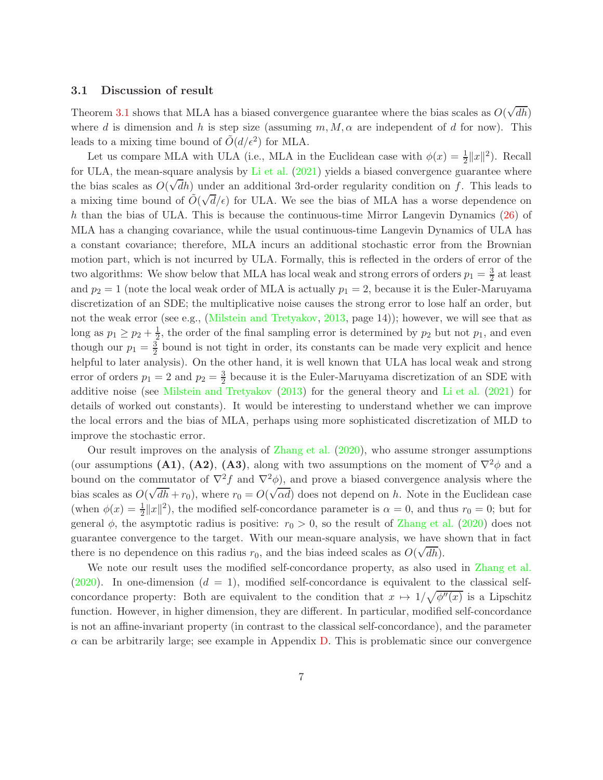#### <span id="page-6-0"></span>3.1 Discussion of result

Theorem [3.1](#page-5-0) shows that MLA has a biased convergence guarantee where the bias scales as  $O(\sqrt{dh})$ where d is dimension and h is step size (assuming  $m, M, \alpha$  are independent of d for now). This leads to a mixing time bound of  $\tilde{O}(d/\epsilon^2)$  for MLA.

Let us compare MLA with ULA (i.e., MLA in the Euclidean case with  $\phi(x) = \frac{1}{2} ||x||^2$ ). Recall for ULA, the mean-square analysis by [Li et al.](#page-14-3) [\(2021](#page-14-3)) yields a biased convergence guarantee where the bias scales as  $O(\sqrt{d}h)$  under an additional 3rd-order regularity condition on f. This leads to a mixing time bound of  $\tilde{O}(\sqrt{d}/\epsilon)$  for ULA. We see the bias of MLA has a worse dependence on h than the bias of ULA. This is because the continuous-time Mirror Langevin Dynamics [\(26\)](#page-9-1) of MLA has a changing covariance, while the usual continuous-time Langevin Dynamics of ULA has a constant covariance; therefore, MLA incurs an additional stochastic error from the Brownian motion part, which is not incurred by ULA. Formally, this is reflected in the orders of error of the two algorithms: We show below that MLA has local weak and strong errors of orders  $p_1 = \frac{3}{2}$  at least and  $p_2 = 1$  (note the local weak order of MLA is actually  $p_1 = 2$ , because it is the Euler-Maruyama discretization of an SDE; the multiplicative noise causes the strong error to lose half an order, but not the weak error (see e.g., [\(Milstein and Tretyakov](#page-14-6), [2013](#page-14-6), page 14)); however, we will see that as long as  $p_1 \geq p_2 + \frac{1}{2}$  $\frac{1}{2}$ , the order of the final sampling error is determined by  $p_2$  but not  $p_1$ , and even though our  $p_1 = \frac{3}{2}$  bound is not tight in order, its constants can be made very explicit and hence helpful to later analysis). On the other hand, it is well known that ULA has local weak and strong error of orders  $p_1 = 2$  and  $p_2 = \frac{3}{2}$  $\frac{3}{2}$  because it is the Euler-Maruyama discretization of an SDE with additive noise (see [Milstein and Tretyakov](#page-14-6) [\(2013](#page-14-6)) for the general theory and [Li et al.](#page-14-3) [\(2021](#page-14-3)) for details of worked out constants). It would be interesting to understand whether we can improve the local errors and the bias of MLA, perhaps using more sophisticated discretization of MLD to improve the stochastic error.

Our result improves on the analysis of [Zhang et al.](#page-14-4) [\(2020](#page-14-4)), who assume stronger assumptions (our assumptions (A1), (A2), (A3), along with two assumptions on the moment of  $\nabla^2 \phi$  and a bound on the commutator of  $\nabla^2 f$  and  $\nabla^2 \phi$ , and prove a biased convergence analysis where the bias scales as  $O(\sqrt{dh} + r_0)$ , where  $r_0 = O(\sqrt{\alpha d})$  does not depend on h. Note in the Euclidean case (when  $\phi(x) = \frac{1}{2} ||x||^2$ ), the modified self-concordance parameter is  $\alpha = 0$ , and thus  $r_0 = 0$ ; but for general  $\phi$ , the asymptotic radius is positive:  $r_0 > 0$ , so the result of [Zhang et al.](#page-14-4) [\(2020](#page-14-4)) does not guarantee convergence to the target. With our mean-square analysis, we have shown that in fact there is no dependence on this radius  $r_0$ , and the bias indeed scales as  $O(\sqrt{dh})$ .

We note our result uses the modified self-concordance property, as also used in [Zhang et al.](#page-14-4) [\(2020](#page-14-4)). In one-dimension  $(d = 1)$ , modified self-concordance is equivalent to the classical selfconcordance property: Both are equivalent to the condition that  $x \mapsto 1/\sqrt{\phi''(x)}$  is a Lipschitz function. However, in higher dimension, they are different. In particular, modified self-concordance is not an affine-invariant property (in contrast to the classical self-concordance), and the parameter  $\alpha$  can be arbitrarily large; see example in Appendix [D.](#page-25-0) This is problematic since our convergence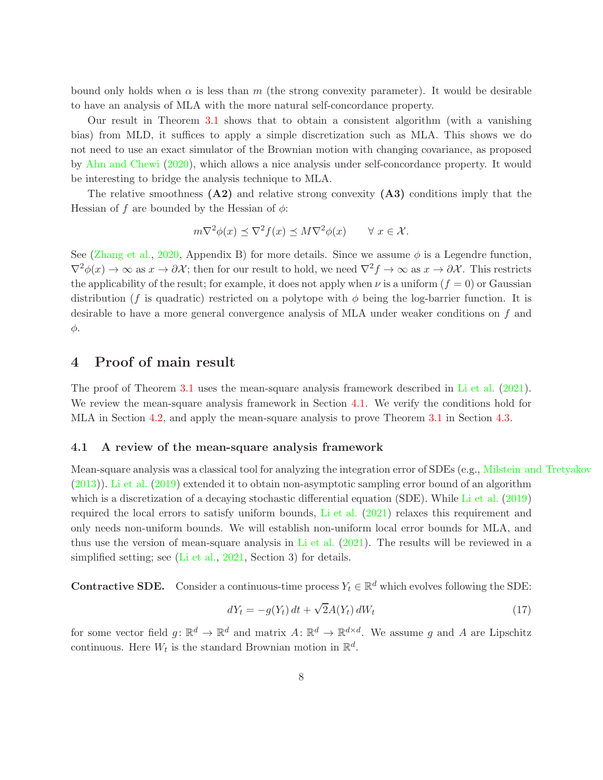bound only holds when  $\alpha$  is less than m (the strong convexity parameter). It would be desirable to have an analysis of MLA with the more natural self-concordance property.

Our result in Theorem [3.1](#page-5-0) shows that to obtain a consistent algorithm (with a vanishing bias) from MLD, it suffices to apply a simple discretization such as MLA. This shows we do not need to use an exact simulator of the Brownian motion with changing covariance, as proposed by [Ahn and Chewi](#page-13-9) [\(2020\)](#page-13-9), which allows a nice analysis under self-concordance property. It would be interesting to bridge the analysis technique to MLA.

The relative smoothness  $(A2)$  and relative strong convexity  $(A3)$  conditions imply that the Hessian of f are bounded by the Hessian of  $\phi$ :

$$
m\nabla^2 \phi(x) \preceq \nabla^2 f(x) \preceq M\nabla^2 \phi(x) \qquad \forall \ x \in \mathcal{X}.
$$

See [\(Zhang et al.](#page-14-4), [2020,](#page-14-4) Appendix B) for more details. Since we assume  $\phi$  is a Legendre function,  $\nabla^2 \phi(x) \to \infty$  as  $x \to \partial \mathcal{X}$ ; then for our result to hold, we need  $\nabla^2 f \to \infty$  as  $x \to \partial \mathcal{X}$ . This restricts the applicability of the result; for example, it does not apply when  $\nu$  is a uniform  $(f = 0)$  or Gaussian distribution (f is quadratic) restricted on a polytope with  $\phi$  being the log-barrier function. It is desirable to have a more general convergence analysis of MLA under weaker conditions on f and φ.

## 4 Proof of main result

The proof of Theorem [3.1](#page-5-0) uses the mean-square analysis framework described in [Li et al.](#page-14-3) [\(2021](#page-14-3)). We review the mean-square analysis framework in Section [4.1.](#page-7-0) We verify the conditions hold for MLA in Section [4.2,](#page-9-2) and apply the mean-square analysis to prove Theorem [3.1](#page-5-0) in Section [4.3.](#page-10-0)

#### <span id="page-7-0"></span>4.1 A review of the mean-square analysis framework

Mean-square analysis was a classical tool for analyzing the integration error of SDEs (e.g., [Milstein and Tretyakov](#page-14-6) [\(2013](#page-14-6))). [Li et al.](#page-14-2) [\(2019](#page-14-2)) extended it to obtain non-asymptotic sampling error bound of an algorithm which is a discretization of a decaying stochastic differential equation (SDE). While [Li et al.](#page-14-2) [\(2019](#page-14-2)) required the local errors to satisfy uniform bounds, [Li et al.](#page-14-3) [\(2021](#page-14-3)) relaxes this requirement and only needs non-uniform bounds. We will establish non-uniform local error bounds for MLA, and thus use the version of mean-square analysis in [Li et al.](#page-14-3) [\(2021\)](#page-14-3). The results will be reviewed in a simplified setting; see [\(Li et al.](#page-14-3), [2021](#page-14-3), Section 3) for details.

**Contractive SDE.** Consider a continuous-time process  $Y_t \in \mathbb{R}^d$  which evolves following the SDE:

<span id="page-7-1"></span>
$$
dY_t = -g(Y_t) dt + \sqrt{2}A(Y_t) dW_t
$$
\n
$$
(17)
$$

for some vector field  $g: \mathbb{R}^d \to \mathbb{R}^d$  and matrix  $A: \mathbb{R}^d \to \mathbb{R}^{d \times d}$ . We assume g and A are Lipschitz continuous. Here  $W_t$  is the standard Brownian motion in  $\mathbb{R}^d$ .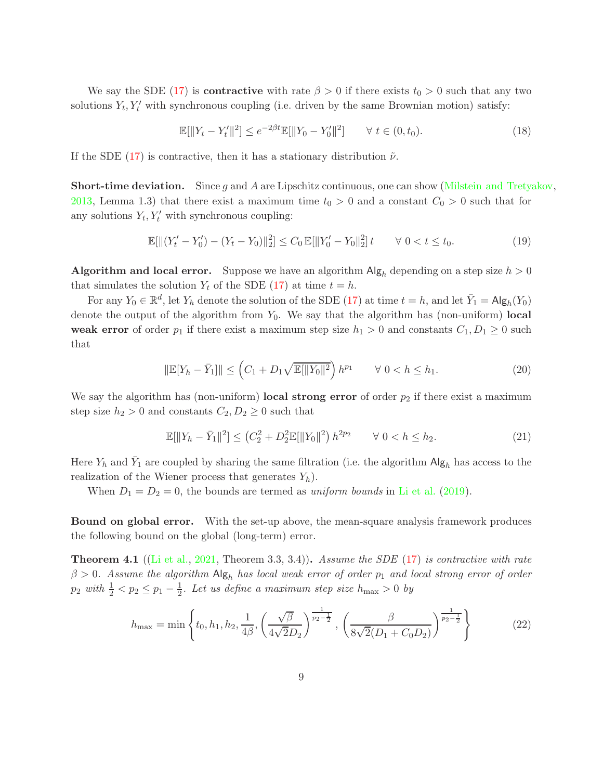We say the SDE [\(17\)](#page-7-1) is **contractive** with rate  $\beta > 0$  if there exists  $t_0 > 0$  such that any two solutions  $Y_t, Y_t'$  with synchronous coupling (i.e. driven by the same Brownian motion) satisfy:

$$
\mathbb{E}[\|Y_t - Y'_t\|^2] \le e^{-2\beta t} \mathbb{E}[\|Y_0 - Y'_0\|^2] \qquad \forall \ t \in (0, t_0). \tag{18}
$$

If the SDE [\(17\)](#page-7-1) is contractive, then it has a stationary distribution  $\tilde{\nu}$ .

**Short-time deviation.** Since g and A are Lipschitz continuous, one can show [\(Milstein and Tretyakov,](#page-14-6) [2013,](#page-14-6) Lemma 1.3) that there exist a maximum time  $t_0 > 0$  and a constant  $C_0 > 0$  such that for any solutions  $Y_t, Y'_t$  with synchronous coupling:

$$
\mathbb{E}[\|(Y'_t - Y'_0) - (Y_t - Y_0)\|_2^2] \le C_0 \mathbb{E}[\|Y'_0 - Y_0\|_2^2]t \qquad \forall \ 0 < t \le t_0.
$$
\n
$$
(19)
$$

Algorithm and local error. Suppose we have an algorithm  $\text{Alg}_h$  depending on a step size  $h > 0$ that simulates the solution  $Y_t$  of the SDE [\(17\)](#page-7-1) at time  $t = h$ .

For any  $Y_0 \in \mathbb{R}^d$ , let  $Y_h$  denote the solution of the SDE [\(17\)](#page-7-1) at time  $t = h$ , and let  $\bar{Y}_1 = \mathsf{Alg}_h(Y_0)$ denote the output of the algorithm from  $Y_0$ . We say that the algorithm has (non-uniform) local weak error of order  $p_1$  if there exist a maximum step size  $h_1 > 0$  and constants  $C_1, D_1 \geq 0$  such that

$$
\|\mathbb{E}[Y_h - \bar{Y}_1]\| \le \left(C_1 + D_1 \sqrt{\mathbb{E}[\|Y_0\|^2}\right) h^{p_1} \qquad \forall \ 0 < h \le h_1. \tag{20}
$$

We say the algorithm has (non-uniform) local strong error of order  $p_2$  if there exist a maximum step size  $h_2 > 0$  and constants  $C_2, D_2 \geq 0$  such that

$$
\mathbb{E}[\|Y_h - \bar{Y}_1\|^2] \le (C_2^2 + D_2^2 \mathbb{E}[\|Y_0\|^2) h^{2p_2} \qquad \forall \ 0 < h \le h_2. \tag{21}
$$

Here  $Y_h$  and  $\bar{Y}_1$  are coupled by sharing the same filtration (i.e. the algorithm  $\mathsf{Alg}_h$  has access to the realization of the Wiener process that generates  $Y_h$ ).

When  $D_1 = D_2 = 0$ , the bounds are termed as *uniform bounds* in [Li et al.](#page-14-2) [\(2019](#page-14-2)).

Bound on global error. With the set-up above, the mean-square analysis framework produces the following bound on the global (long-term) error.

<span id="page-8-0"></span>**Theorem 4.1** ([\(Li et al.](#page-14-3), [2021](#page-14-3), Theorem 3.3, 3.4)). Assume the SDE [\(17\)](#page-7-1) is contractive with rate  $\beta > 0$ . Assume the algorithm  $\text{Alg}_h$  has local weak error of order  $p_1$  and local strong error of order  $p_2 \text{ with } \frac{1}{2} < p_2 \leq p_1 - \frac{1}{2}$  $\frac{1}{2}$ . Let us define a maximum step size  $h_{\text{max}} > 0$  by

$$
h_{\max} = \min\left\{t_0, h_1, h_2, \frac{1}{4\beta}, \left(\frac{\sqrt{\beta}}{4\sqrt{2}D_2}\right)^{\frac{1}{p_2 - \frac{1}{2}}}, \left(\frac{\beta}{8\sqrt{2}(D_1 + C_0 D_2)}\right)^{\frac{1}{p_2 - \frac{1}{2}}}\right\}
$$
(22)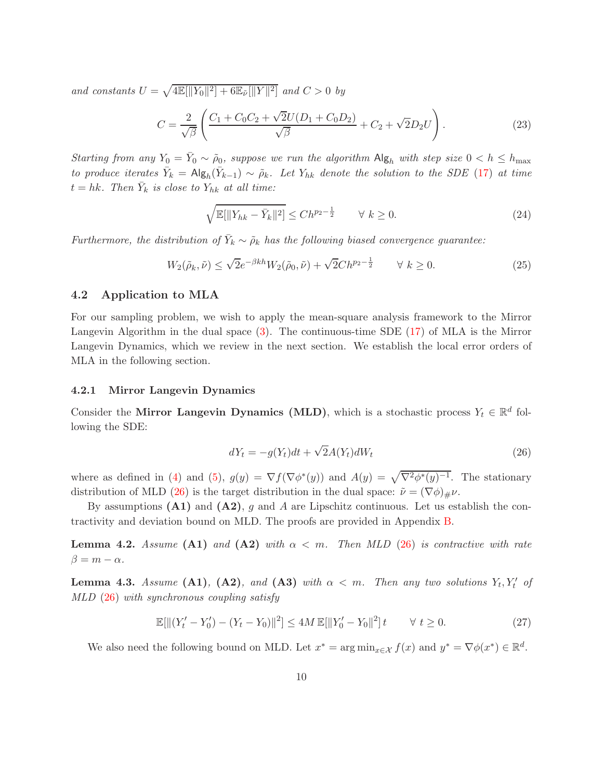and constants  $U = \sqrt{\frac{4\mathbb{E}[\|Y_0\|^2] + 6\mathbb{E}_{\tilde{\nu}}[\|Y\|^2]}$  and  $C > 0$  by

$$
C = \frac{2}{\sqrt{\beta}} \left( \frac{C_1 + C_0 C_2 + \sqrt{2} U (D_1 + C_0 D_2)}{\sqrt{\beta}} + C_2 + \sqrt{2} D_2 U \right).
$$
 (23)

Starting from any  $Y_0 = \overline{Y}_0 \sim \tilde{\rho}_0$ , suppose we run the algorithm  $\text{Alg}_h$  with step size  $0 < h \le h_{\text{max}}$ to produce iterates  $\bar{Y}_k = \mathsf{Alg}_h(\bar{Y}_{k-1}) \sim \tilde{\rho}_k$ . Let  $Y_{hk}$  denote the solution to the SDE [\(17\)](#page-7-1) at time  $t = hk$ . Then  $\bar{Y}_k$  is close to  $Y_{hk}$  at all time:

$$
\sqrt{\mathbb{E}[\|Y_{hk} - \bar{Y}_k\|^2]} \le C h^{p_2 - \frac{1}{2}} \qquad \forall \ k \ge 0.
$$
 (24)

Furthermore, the distribution of  $\bar{Y}_k \sim \tilde{\rho}_k$  has the following biased convergence guarantee:

$$
W_2(\tilde{\rho}_k, \tilde{\nu}) \le \sqrt{2}e^{-\beta kh}W_2(\tilde{\rho}_0, \tilde{\nu}) + \sqrt{2}Ch^{p_2 - \frac{1}{2}} \qquad \forall \ k \ge 0.
$$
 (25)

## <span id="page-9-2"></span>4.2 Application to MLA

For our sampling problem, we wish to apply the mean-square analysis framework to the Mirror Langevin Algorithm in the dual space [\(3\)](#page-3-1). The continuous-time SDE [\(17\)](#page-7-1) of MLA is the Mirror Langevin Dynamics, which we review in the next section. We establish the local error orders of MLA in the following section.

### <span id="page-9-0"></span>4.2.1 Mirror Langevin Dynamics

Consider the Mirror Langevin Dynamics (MLD), which is a stochastic process  $Y_t \in \mathbb{R}^d$  following the SDE:

<span id="page-9-1"></span>
$$
dY_t = -g(Y_t)dt + \sqrt{2}A(Y_t)dW_t
$$
\n(26)

where as defined in [\(4\)](#page-4-0) and [\(5\)](#page-4-1),  $g(y) = \nabla f(\nabla \phi^*(y))$  and  $A(y) = \sqrt{\nabla^2 \phi^*(y)^{-1}}$ . The stationary distribution of MLD [\(26\)](#page-9-1) is the target distribution in the dual space:  $\tilde{\nu} = (\nabla \phi)_{\#} \nu$ .

By assumptions  $(A1)$  and  $(A2)$ , g and A are Lipschitz continuous. Let us establish the contractivity and deviation bound on MLD. The proofs are provided in Appendix [B.](#page-18-0)

<span id="page-9-3"></span>**Lemma 4.2.** Assume (A1) and (A2) with  $\alpha < m$ . Then MLD [\(26\)](#page-9-1) is contractive with rate  $\beta = m - \alpha$ .

<span id="page-9-4"></span>**Lemma 4.3.** Assume  $(A1)$ ,  $(A2)$ , and  $(A3)$  with  $\alpha < m$ . Then any two solutions  $Y_t, Y_t'$  of MLD [\(26\)](#page-9-1) with synchronous coupling satisfy

$$
\mathbb{E}[\|(Y'_t - Y'_0) - (Y_t - Y_0)\|^2] \le 4M \mathbb{E}[\|Y'_0 - Y_0\|^2]t \qquad \forall \ t \ge 0.
$$
 (27)

We also need the following bound on MLD. Let  $x^* = \arg \min_{x \in \mathcal{X}} f(x)$  and  $y^* = \nabla \phi(x^*) \in \mathbb{R}^d$ .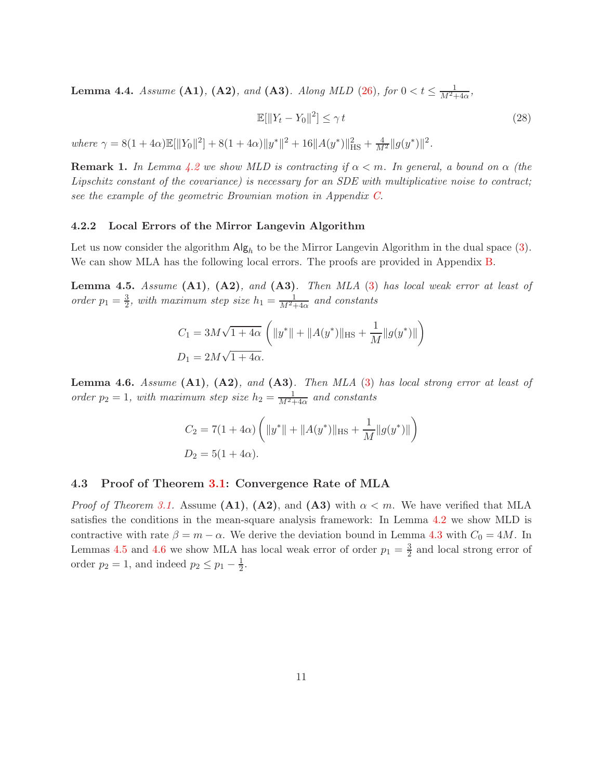<span id="page-10-3"></span>**Lemma 4.4.** Assume (A1), (A2), and (A3). Along MLD [\(26\)](#page-9-1), for  $0 < t \le \frac{1}{M^2+4\alpha}$ ,

$$
\mathbb{E}[\|Y_t - Y_0\|^2] \le \gamma t \tag{28}
$$

where  $\gamma = 8(1 + 4\alpha)\mathbb{E}[\|Y_0\|^2] + 8(1 + 4\alpha)\|y^*\|^2 + 16\|A(y^*)\|_{\text{HS}}^2 + \frac{4}{M^2}\|g(y^*)\|^2.$ 

**Remark 1.** In Lemma [4.2](#page-9-3) we show MLD is contracting if  $\alpha < m$ . In general, a bound on  $\alpha$  (the Lipschitz constant of the covariance) is necessary for an SDE with multiplicative noise to contract; see the example of the geometric Brownian motion in Appendix  $C$ .

#### 4.2.2 Local Errors of the Mirror Langevin Algorithm

Let us now consider the algorithm  $\mathsf{Alg}_h$  to be the Mirror Langevin Algorithm in the dual space [\(3\)](#page-3-1). We can show MLA has the following local errors. The proofs are provided in Appendix [B.](#page-18-0)

<span id="page-10-1"></span>**Lemma 4.5.** Assume  $(A1)$ ,  $(A2)$ , and  $(A3)$ . Then MLA  $(3)$  has local weak error at least of order  $p_1 = \frac{3}{2}$  $\frac{3}{2}$ , with maximum step size  $h_1 = \frac{1}{M^2+4\alpha}$  and constants

$$
C_1 = 3M\sqrt{1+4\alpha} \left( ||y^*|| + ||A(y^*)||_{\text{HS}} + \frac{1}{M} ||g(y^*)|| \right)
$$
  

$$
D_1 = 2M\sqrt{1+4\alpha}.
$$

<span id="page-10-2"></span>**Lemma 4.6.** Assume  $(A1)$ ,  $(A2)$ , and  $(A3)$ . Then MLA  $(3)$  has local strong error at least of order  $p_2 = 1$ , with maximum step size  $h_2 = \frac{1}{M^2+4\alpha}$  and constants

$$
C_2 = 7(1 + 4\alpha) \left( ||y^*|| + ||A(y^*)||_{\text{HS}} + \frac{1}{M} ||g(y^*)|| \right)
$$
  

$$
D_2 = 5(1 + 4\alpha).
$$

#### <span id="page-10-0"></span>4.3 Proof of Theorem [3.1:](#page-5-0) Convergence Rate of MLA

*Proof of Theorem [3.1.](#page-5-0)* Assume (A1), (A2), and (A3) with  $\alpha < m$ . We have verified that MLA satisfies the conditions in the mean-square analysis framework: In Lemma [4.2](#page-9-3) we show MLD is contractive with rate  $\beta = m - \alpha$ . We derive the deviation bound in Lemma [4.3](#page-9-4) with  $C_0 = 4M$ . In Lemmas [4.5](#page-10-1) and [4.6](#page-10-2) we show MLA has local weak error of order  $p_1 = \frac{3}{2}$  $\frac{3}{2}$  and local strong error of order  $p_2 = 1$ , and indeed  $p_2 \leq p_1 - \frac{1}{2}$  $\frac{1}{2}$ .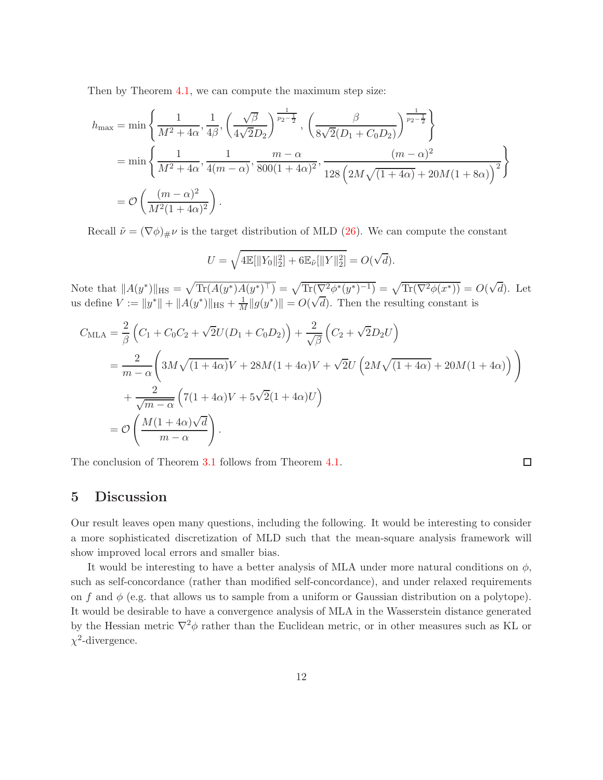Then by Theorem [4.1,](#page-8-0) we can compute the maximum step size:

$$
h_{\max} = \min\left\{\frac{1}{M^2 + 4\alpha}, \frac{1}{4\beta}, \left(\frac{\sqrt{\beta}}{4\sqrt{2}D_2}\right)^{\frac{1}{p_2 - \frac{1}{2}}}, \left(\frac{\beta}{8\sqrt{2}(D_1 + C_0D_2)}\right)^{\frac{1}{p_2 - \frac{1}{2}}}\right\}
$$
  
= 
$$
\min\left\{\frac{1}{M^2 + 4\alpha}, \frac{1}{4(m - \alpha)}, \frac{m - \alpha}{800(1 + 4\alpha)^2}, \frac{(m - \alpha)^2}{128\left(2M\sqrt{(1 + 4\alpha)} + 20M(1 + 8\alpha)\right)^2}\right\}
$$
  
= 
$$
\mathcal{O}\left(\frac{(m - \alpha)^2}{M^2(1 + 4\alpha)^2}\right).
$$

Recall  $\tilde{\nu} = (\nabla \phi)_{\#} \nu$  is the target distribution of MLD [\(26\)](#page-9-1). We can compute the constant

$$
U = \sqrt{4\mathbb{E}[\|Y_0\|_2^2] + 6\mathbb{E}_{\tilde{\nu}}[\|Y\|_2^2]} = O(\sqrt{d}).
$$

Note that  $||A(y^*)||_{\text{HS}} = \sqrt{\text{Tr}(A(y^*)A(y^*)^{\top})} = \sqrt{\text{Tr}(\nabla^2 \phi^*(y^*)^{-1})} = \sqrt{\text{Tr}(\nabla^2 \phi(x^*))} = O(\sqrt{d}).$  Let us define  $V := ||y^*|| + ||A(y^*)||_{\text{HS}} + \frac{1}{M}||g(y^*)|| = O(\sqrt{d})$ . Then the resulting constant is

$$
C_{\text{MLA}} = \frac{2}{\beta} \left( C_1 + C_0 C_2 + \sqrt{2} U (D_1 + C_0 D_2) \right) + \frac{2}{\sqrt{\beta}} \left( C_2 + \sqrt{2} D_2 U \right)
$$
  
= 
$$
\frac{2}{m - \alpha} \left( 3M \sqrt{(1 + 4\alpha)} V + 28M (1 + 4\alpha) V + \sqrt{2} U \left( 2M \sqrt{(1 + 4\alpha)} + 20M (1 + 4\alpha) \right) \right)
$$
  
+ 
$$
\frac{2}{\sqrt{m - \alpha}} \left( 7(1 + 4\alpha) V + 5\sqrt{2} (1 + 4\alpha) U \right)
$$
  
= 
$$
\mathcal{O} \left( \frac{M (1 + 4\alpha) \sqrt{d}}{m - \alpha} \right).
$$

The conclusion of Theorem [3.1](#page-5-0) follows from Theorem [4.1.](#page-8-0)

### $\Box$

## 5 Discussion

Our result leaves open many questions, including the following. It would be interesting to consider a more sophisticated discretization of MLD such that the mean-square analysis framework will show improved local errors and smaller bias.

It would be interesting to have a better analysis of MLA under more natural conditions on  $\phi$ , such as self-concordance (rather than modified self-concordance), and under relaxed requirements on f and  $\phi$  (e.g. that allows us to sample from a uniform or Gaussian distribution on a polytope). It would be desirable to have a convergence analysis of MLA in the Wasserstein distance generated by the Hessian metric  $\nabla^2 \phi$  rather than the Euclidean metric, or in other measures such as KL or  $\chi^2$ -divergence.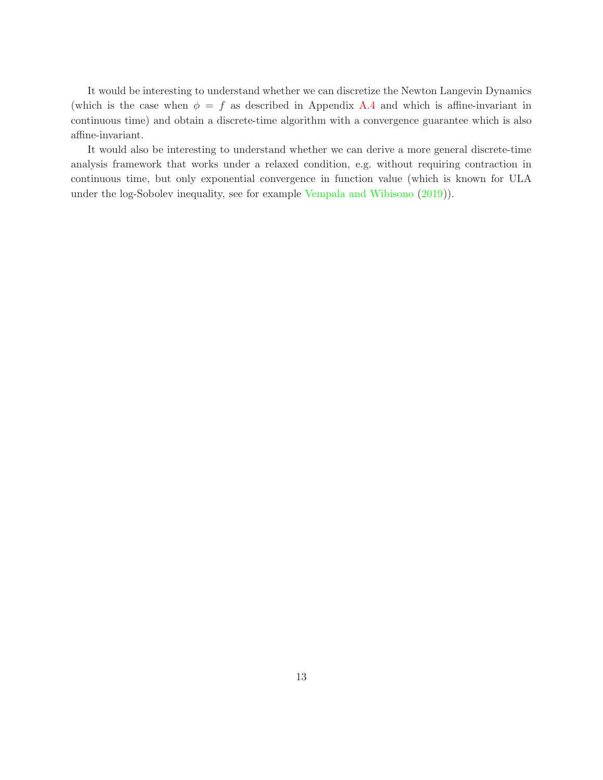It would be interesting to understand whether we can discretize the Newton Langevin Dynamics (which is the case when  $\phi = f$  as described in Appendix [A.4](#page-18-1) and which is affine-invariant in continuous time) and obtain a discrete-time algorithm with a convergence guarantee which is also affine-invariant.

It would also be interesting to understand whether we can derive a more general discrete-time analysis framework that works under a relaxed condition, e.g. without requiring contraction in continuous time, but only exponential convergence in function value (which is known for ULA under the log-Sobolev inequality, see for example [Vempala and Wibisono](#page-14-1) [\(2019](#page-14-1))).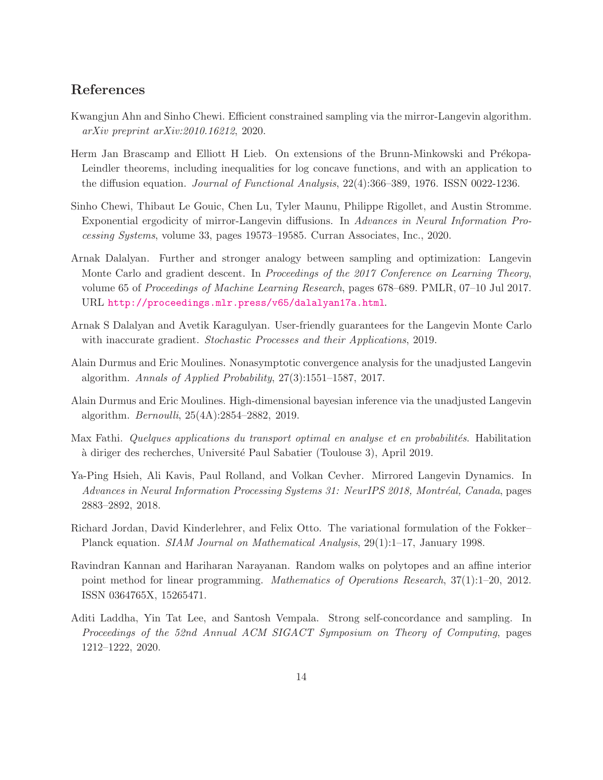## References

- <span id="page-13-9"></span>Kwangjun Ahn and Sinho Chewi. Efficient constrained sampling via the mirror-Langevin algorithm. arXiv preprint arXiv:2010.16212, 2020.
- <span id="page-13-10"></span>Herm Jan Brascamp and Elliott H Lieb. On extensions of the Brunn-Minkowski and Prékopa-Leindler theorems, including inequalities for log concave functions, and with an application to the diffusion equation. Journal of Functional Analysis, 22(4):366–389, 1976. ISSN 0022-1236.
- <span id="page-13-8"></span>Sinho Chewi, Thibaut Le Gouic, Chen Lu, Tyler Maunu, Philippe Rigollet, and Austin Stromme. Exponential ergodicity of mirror-Langevin diffusions. In Advances in Neural Information Processing Systems, volume 33, pages 19573–19585. Curran Associates, Inc., 2020.
- <span id="page-13-1"></span>Arnak Dalalyan. Further and stronger analogy between sampling and optimization: Langevin Monte Carlo and gradient descent. In Proceedings of the 2017 Conference on Learning Theory, volume 65 of Proceedings of Machine Learning Research, pages 678–689. PMLR, 07–10 Jul 2017. URL <http://proceedings.mlr.press/v65/dalalyan17a.html>.
- <span id="page-13-4"></span>Arnak S Dalalyan and Avetik Karagulyan. User-friendly guarantees for the Langevin Monte Carlo with inaccurate gradient. Stochastic Processes and their Applications, 2019.
- <span id="page-13-2"></span>Alain Durmus and Eric Moulines. Nonasymptotic convergence analysis for the unadjusted Langevin algorithm. Annals of Applied Probability, 27(3):1551–1587, 2017.
- <span id="page-13-3"></span>Alain Durmus and Eric Moulines. High-dimensional bayesian inference via the unadjusted Langevin algorithm. Bernoulli, 25(4A):2854–2882, 2019.
- <span id="page-13-11"></span>Max Fathi. Quelques applications du transport optimal en analyse et en probabilités. Habilitation `a diriger des recherches, Universit´e Paul Sabatier (Toulouse 3), April 2019.
- <span id="page-13-7"></span>Ya-Ping Hsieh, Ali Kavis, Paul Rolland, and Volkan Cevher. Mirrored Langevin Dynamics. In Advances in Neural Information Processing Systems 31: NeurIPS 2018, Montréal, Canada, pages 2883–2892, 2018.
- <span id="page-13-0"></span>Richard Jordan, David Kinderlehrer, and Felix Otto. The variational formulation of the Fokker– Planck equation. SIAM Journal on Mathematical Analysis, 29(1):1–17, January 1998.
- <span id="page-13-5"></span>Ravindran Kannan and Hariharan Narayanan. Random walks on polytopes and an affine interior point method for linear programming. Mathematics of Operations Research, 37(1):1–20, 2012. ISSN 0364765X, 15265471.
- <span id="page-13-6"></span>Aditi Laddha, Yin Tat Lee, and Santosh Vempala. Strong self-concordance and sampling. In Proceedings of the 52nd Annual ACM SIGACT Symposium on Theory of Computing, pages 1212–1222, 2020.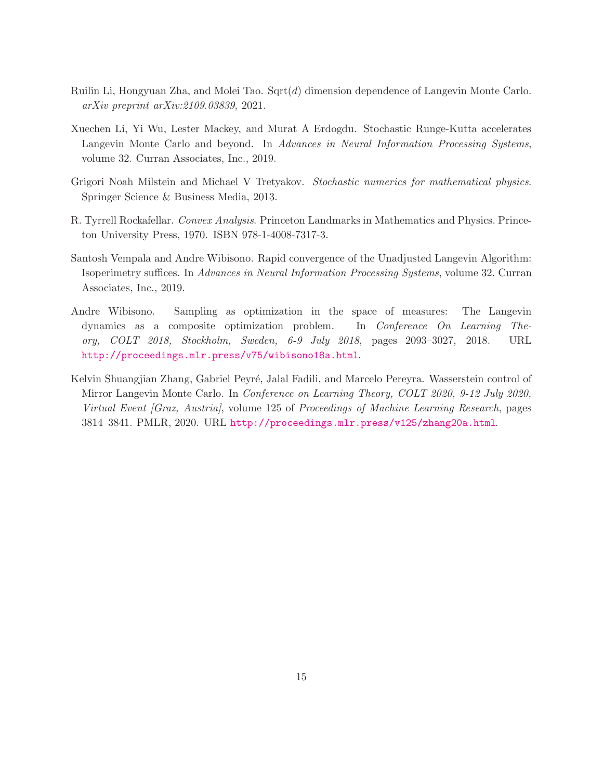- <span id="page-14-3"></span>Ruilin Li, Hongyuan Zha, and Molei Tao. Sqrt $(d)$  dimension dependence of Langevin Monte Carlo. arXiv preprint arXiv:2109.03839, 2021.
- <span id="page-14-2"></span>Xuechen Li, Yi Wu, Lester Mackey, and Murat A Erdogdu. Stochastic Runge-Kutta accelerates Langevin Monte Carlo and beyond. In Advances in Neural Information Processing Systems, volume 32. Curran Associates, Inc., 2019.
- <span id="page-14-6"></span>Grigori Noah Milstein and Michael V Tretyakov. Stochastic numerics for mathematical physics. Springer Science & Business Media, 2013.
- <span id="page-14-5"></span>R. Tyrrell Rockafellar. Convex Analysis. Princeton Landmarks in Mathematics and Physics. Princeton University Press, 1970. ISBN 978-1-4008-7317-3.
- <span id="page-14-1"></span>Santosh Vempala and Andre Wibisono. Rapid convergence of the Unadjusted Langevin Algorithm: Isoperimetry suffices. In Advances in Neural Information Processing Systems, volume 32. Curran Associates, Inc., 2019.
- <span id="page-14-0"></span>Andre Wibisono. Sampling as optimization in the space of measures: The Langevin dynamics as a composite optimization problem. In Conference On Learning Theory, COLT 2018, Stockholm, Sweden, 6-9 July 2018, pages 2093–3027, 2018. URL <http://proceedings.mlr.press/v75/wibisono18a.html>.
- <span id="page-14-4"></span>Kelvin Shuangjian Zhang, Gabriel Peyré, Jalal Fadili, and Marcelo Pereyra. Wasserstein control of Mirror Langevin Monte Carlo. In Conference on Learning Theory, COLT 2020, 9-12 July 2020, Virtual Event [Graz, Austria], volume 125 of Proceedings of Machine Learning Research, pages 3814–3841. PMLR, 2020. URL <http://proceedings.mlr.press/v125/zhang20a.html>.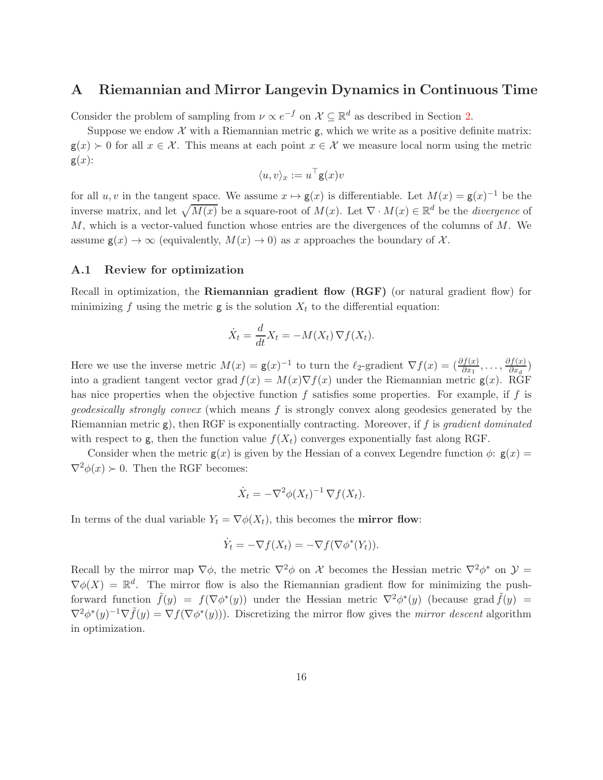## <span id="page-15-0"></span>A Riemannian and Mirror Langevin Dynamics in Continuous Time

Consider the problem of sampling from  $\nu \propto e^{-f}$  on  $\mathcal{X} \subseteq \mathbb{R}^d$  as described in Section [2.](#page-2-1)

Suppose we endow  $\mathcal X$  with a Riemannian metric  $g$ , which we write as a positive definite matrix:  $g(x) \geq 0$  for all  $x \in \mathcal{X}$ . This means at each point  $x \in \mathcal{X}$  we measure local norm using the metric  $g(x)$ :

$$
\langle u, v \rangle_x := u^\top \mathsf{g}(x) v
$$

for all  $u, v$  in the tangent space. We assume  $x \mapsto g(x)$  is differentiable. Let  $M(x) = g(x)^{-1}$  be the inverse matrix, and let  $\sqrt{M(x)}$  be a square-root of  $M(x)$ . Let  $\nabla \cdot M(x) \in \mathbb{R}^d$  be the *divergence* of  $M$ , which is a vector-valued function whose entries are the divergences of the columns of  $M$ . We assume  $g(x) \to \infty$  (equivalently,  $M(x) \to 0$ ) as x approaches the boundary of X.

### A.1 Review for optimization

Recall in optimization, the Riemannian gradient flow (RGF) (or natural gradient flow) for minimizing f using the metric  $g$  is the solution  $X_t$  to the differential equation:

$$
\dot{X}_t = \frac{d}{dt} X_t = -M(X_t) \nabla f(X_t).
$$

Here we use the inverse metric  $M(x) = g(x)^{-1}$  to turn the  $\ell_2$ -gradient  $\nabla f(x) = \left(\frac{\partial f(x)}{\partial x_1}, \ldots, \frac{\partial f(x)}{\partial x_d}\right)$  $\frac{\partial f(x)}{\partial x_d}$ into a gradient tangent vector grad  $f(x) = M(x)\nabla f(x)$  under the Riemannian metric  $g(x)$ . RGF has nice properties when the objective function  $f$  satisfies some properties. For example, if  $f$  is *geodesically strongly convex* (which means  $f$  is strongly convex along geodesics generated by the Riemannian metric g), then RGF is exponentially contracting. Moreover, if f is gradient dominated with respect to g, then the function value  $f(X_t)$  converges exponentially fast along RGF.

Consider when the metric  $g(x)$  is given by the Hessian of a convex Legendre function  $\phi$ :  $g(x)$  =  $\nabla^2 \phi(x) \succ 0$ . Then the RGF becomes:

$$
\dot{X}_t = -\nabla^2 \phi(X_t)^{-1} \nabla f(X_t).
$$

In terms of the dual variable  $Y_t = \nabla \phi(X_t)$ , this becomes the **mirror flow**:

$$
\dot{Y}_t = -\nabla f(X_t) = -\nabla f(\nabla \phi^*(Y_t)).
$$

Recall by the mirror map  $\nabla \phi$ , the metric  $\nabla^2 \phi$  on X becomes the Hessian metric  $\nabla^2 \phi^*$  on  $\mathcal{Y} =$  $\nabla \phi(X) = \mathbb{R}^d$ . The mirror flow is also the Riemannian gradient flow for minimizing the pushforward function  $\tilde{f}(y) = f(\nabla \phi^*(y))$  under the Hessian metric  $\nabla^2 \phi^*(y)$  (because grad  $\tilde{f}(y) =$  $\nabla^2 \phi^*(y)^{-1} \nabla \tilde{f}(y) = \nabla f(\nabla \phi^*(y))$ . Discretizing the mirror flow gives the *mirror descent* algorithm in optimization.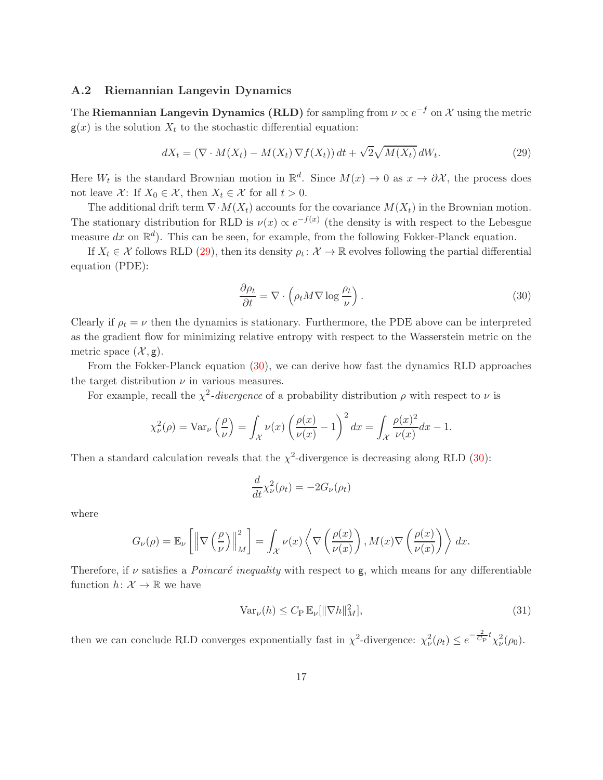#### A.2 Riemannian Langevin Dynamics

The Riemannian Langevin Dynamics (RLD) for sampling from  $\nu \propto e^{-f}$  on  $\mathcal X$  using the metric  $g(x)$  is the solution  $X_t$  to the stochastic differential equation:

$$
dX_t = (\nabla \cdot M(X_t) - M(X_t) \nabla f(X_t)) dt + \sqrt{2} \sqrt{M(X_t)} dW_t.
$$
\n(29)

Here  $W_t$  is the standard Brownian motion in  $\mathbb{R}^d$ . Since  $M(x) \to 0$  as  $x \to \partial \mathcal{X}$ , the process does not leave X: If  $X_0 \in \mathcal{X}$ , then  $X_t \in \mathcal{X}$  for all  $t > 0$ .

The additional drift term  $\nabla \cdot M(X_t)$  accounts for the covariance  $M(X_t)$  in the Brownian motion. The stationary distribution for RLD is  $\nu(x) \propto e^{-f(x)}$  (the density is with respect to the Lebesgue measure dx on  $\mathbb{R}^d$ ). This can be seen, for example, from the following Fokker-Planck equation.

If  $X_t \in \mathcal{X}$  follows RLD [\(29\)](#page-16-0), then its density  $\rho_t \colon \mathcal{X} \to \mathbb{R}$  evolves following the partial differential equation (PDE):

<span id="page-16-1"></span><span id="page-16-0"></span>
$$
\frac{\partial \rho_t}{\partial t} = \nabla \cdot \left( \rho_t M \nabla \log \frac{\rho_t}{\nu} \right). \tag{30}
$$

Clearly if  $\rho_t = \nu$  then the dynamics is stationary. Furthermore, the PDE above can be interpreted as the gradient flow for minimizing relative entropy with respect to the Wasserstein metric on the metric space  $(\mathcal{X}, g)$ .

From the Fokker-Planck equation [\(30\)](#page-16-1), we can derive how fast the dynamics RLD approaches the target distribution  $\nu$  in various measures.

For example, recall the  $\chi^2$ -divergence of a probability distribution  $\rho$  with respect to  $\nu$  is

$$
\chi_{\nu}^{2}(\rho) = \text{Var}_{\nu}\left(\frac{\rho}{\nu}\right) = \int_{\mathcal{X}} \nu(x) \left(\frac{\rho(x)}{\nu(x)} - 1\right)^{2} dx = \int_{\mathcal{X}} \frac{\rho(x)^{2}}{\nu(x)} dx - 1.
$$

Then a standard calculation reveals that the  $\chi^2$ -divergence is decreasing along RLD [\(30\)](#page-16-1):

$$
\frac{d}{dt}\chi_{\nu}^{2}(\rho_{t}) = -2G_{\nu}(\rho_{t})
$$

where

$$
G_{\nu}(\rho) = \mathbb{E}_{\nu} \left[ \left\| \nabla \left( \frac{\rho}{\nu} \right) \right\|_{M}^{2} \right] = \int_{\mathcal{X}} \nu(x) \left\langle \nabla \left( \frac{\rho(x)}{\nu(x)} \right), M(x) \nabla \left( \frac{\rho(x)}{\nu(x)} \right) \right\rangle dx.
$$

Therefore, if  $\nu$  satisfies a *Poincaré inequality* with respect to g, which means for any differentiable function  $h: \mathcal{X} \to \mathbb{R}$  we have

$$
\text{Var}_{\nu}(h) \le C_{\text{P}} \, \mathbb{E}_{\nu}[\|\nabla h\|_{M}^{2}],\tag{31}
$$

then we can conclude RLD converges exponentially fast in  $\chi^2$ -divergence:  $\chi^2_{\nu}(\rho_t) \leq e^{-\frac{2}{C_P}t} \chi^2_{\nu}(\rho_0)$ .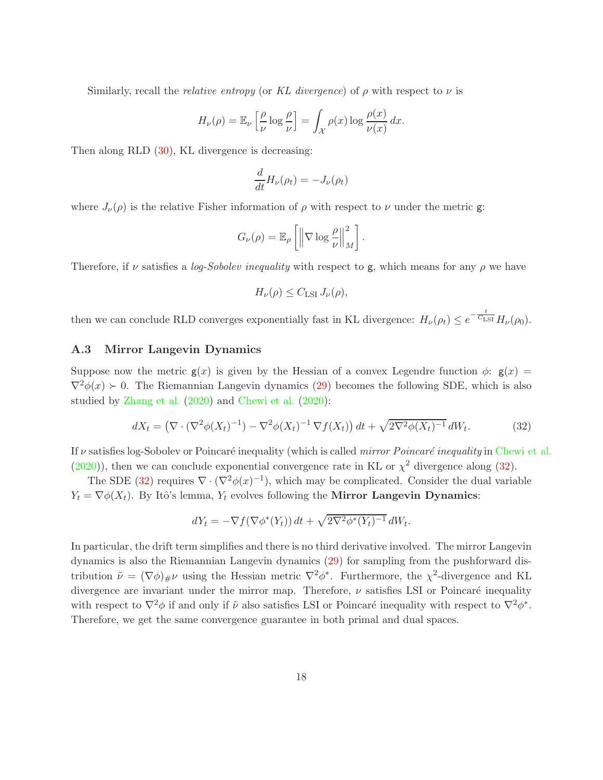Similarly, recall the *relative entropy* (or KL divergence) of  $\rho$  with respect to  $\nu$  is

$$
H_{\nu}(\rho) = \mathbb{E}_{\nu} \left[ \frac{\rho}{\nu} \log \frac{\rho}{\nu} \right] = \int_{\mathcal{X}} \rho(x) \log \frac{\rho(x)}{\nu(x)} dx.
$$

Then along RLD [\(30\)](#page-16-1), KL divergence is decreasing:

$$
\frac{d}{dt}H_{\nu}(\rho_t) = -J_{\nu}(\rho_t)
$$

where  $J_{\nu}(\rho)$  is the relative Fisher information of  $\rho$  with respect to  $\nu$  under the metric g:

$$
G_{\nu}(\rho) = \mathbb{E}_{\rho} \left[ \left\| \nabla \log \frac{\rho}{\nu} \right\|_{M}^{2} \right].
$$

Therefore, if v satisfies a log-Sobolev inequality with respect to g, which means for any  $\rho$  we have

<span id="page-17-0"></span>
$$
H_{\nu}(\rho) \leq C_{\mathrm{LSI}} J_{\nu}(\rho),
$$

then we can conclude RLD converges exponentially fast in KL divergence:  $H_{\nu}(\rho_t) \leq e^{-\frac{t}{C_{\text{LSI}}}H_{\nu}(\rho_0)$ .

### A.3 Mirror Langevin Dynamics

Suppose now the metric  $g(x)$  is given by the Hessian of a convex Legendre function  $\phi$ :  $g(x)$  =  $\nabla^2 \phi(x) > 0$ . The Riemannian Langevin dynamics [\(29\)](#page-16-0) becomes the following SDE, which is also studied by [Zhang et al.](#page-14-4) [\(2020](#page-14-4)) and [Chewi et al.](#page-13-8) [\(2020](#page-13-8)):

$$
dX_t = \left(\nabla \cdot (\nabla^2 \phi(X_t)^{-1}) - \nabla^2 \phi(X_t)^{-1} \nabla f(X_t)\right) dt + \sqrt{2 \nabla^2 \phi(X_t)^{-1}} dW_t.
$$
 (32)

If  $\nu$  satisfies log-Sobolev or Poincaré inequality (which is called *mirror Poincaré inequality* in [Chewi et al.](#page-13-8)  $(2020)$  $(2020)$ , then we can conclude exponential convergence rate in KL or  $\chi^2$  divergence along [\(32\)](#page-17-0).

The SDE [\(32\)](#page-17-0) requires  $\nabla \cdot (\nabla^2 \phi(x)^{-1})$ , which may be complicated. Consider the dual variable  $Y_t = \nabla \phi(X_t)$ . By Itô's lemma,  $Y_t$  evolves following the **Mirror Langevin Dynamics**:

$$
dY_t = -\nabla f(\nabla \phi^*(Y_t)) dt + \sqrt{2\nabla^2 \phi^*(Y_t)^{-1}} dW_t.
$$

In particular, the drift term simplifies and there is no third derivative involved. The mirror Langevin dynamics is also the Riemannian Langevin dynamics [\(29\)](#page-16-0) for sampling from the pushforward distribution  $\tilde{\nu} = (\nabla \phi)_{\#} \nu$  using the Hessian metric  $\nabla^2 \phi^*$ . Furthermore, the  $\chi^2$ -divergence and KL divergence are invariant under the mirror map. Therefore,  $\nu$  satisfies LSI or Poincaré inequality with respect to  $\nabla^2 \phi$  if and only if  $\tilde{\nu}$  also satisfies LSI or Poincaré inequality with respect to  $\nabla^2 \phi^*$ . Therefore, we get the same convergence guarantee in both primal and dual spaces.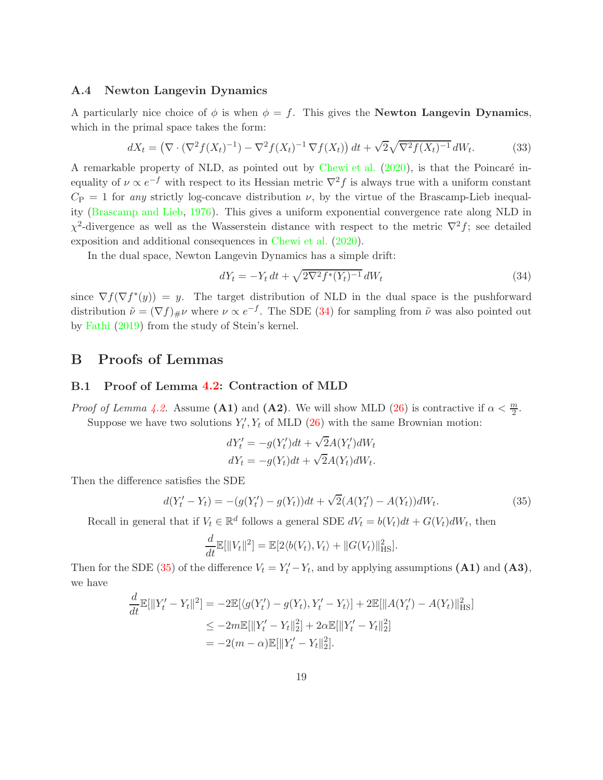### <span id="page-18-1"></span>A.4 Newton Langevin Dynamics

A particularly nice choice of  $\phi$  is when  $\phi = f$ . This gives the **Newton Langevin Dynamics**, which in the primal space takes the form:

$$
dX_t = \left(\nabla \cdot (\nabla^2 f(X_t)^{-1}) - \nabla^2 f(X_t)^{-1} \nabla f(X_t)\right) dt + \sqrt{2} \sqrt{\nabla^2 f(X_t)^{-1}} dW_t.
$$
 (33)

A remarkable property of NLD, as pointed out by [Chewi et al.](#page-13-8)  $(2020)$  $(2020)$ , is that the Poincaré inequality of  $\nu \propto e^{-f}$  with respect to its Hessian metric  $\nabla^2 f$  is always true with a uniform constant  $C_{\rm P} = 1$  for any strictly log-concave distribution  $\nu$ , by the virtue of the Brascamp-Lieb inequality [\(Brascamp and Lieb,](#page-13-10) [1976\)](#page-13-10). This gives a uniform exponential convergence rate along NLD in  $\chi^2$ -divergence as well as the Wasserstein distance with respect to the metric  $\nabla^2 f$ ; see detailed exposition and additional consequences in [Chewi et al.](#page-13-8) [\(2020\)](#page-13-8).

In the dual space, Newton Langevin Dynamics has a simple drift:

<span id="page-18-4"></span><span id="page-18-2"></span>
$$
dY_t = -Y_t dt + \sqrt{2\nabla^2 f^*(Y_t)^{-1}} dW_t
$$
\n(34)

since  $\nabla f(\nabla f^*(y)) = y$ . The target distribution of NLD in the dual space is the pushforward distribution  $\tilde{\nu} = (\nabla f)_{\#}\nu$  where  $\nu \propto e^{-f}$ . The SDE [\(34\)](#page-18-2) for sampling from  $\tilde{\nu}$  was also pointed out by [Fathi](#page-13-11) [\(2019\)](#page-13-11) from the study of Stein's kernel.

## <span id="page-18-0"></span>B Proofs of Lemmas

#### B.1 Proof of Lemma [4.2:](#page-9-3) Contraction of MLD

*Proof of Lemma [4.2.](#page-9-3)* Assume (A1) and (A2). We will show MLD [\(26\)](#page-9-1) is contractive if  $\alpha < \frac{m}{2}$ . Suppose we have two solutions  $Y'_t, Y_t$  of MLD [\(26\)](#page-9-1) with the same Brownian motion:

<span id="page-18-3"></span>
$$
dY'_t = -g(Y'_t)dt + \sqrt{2}A(Y'_t)dW_t
$$
  

$$
dY_t = -g(Y_t)dt + \sqrt{2}A(Y_t)dW_t.
$$

Then the difference satisfies the SDE

$$
d(Y'_t - Y_t) = -(g(Y'_t) - g(Y_t))dt + \sqrt{2}(A(Y'_t) - A(Y_t))dW_t.
$$
\n(35)

Recall in general that if  $V_t \in \mathbb{R}^d$  follows a general SDE  $dV_t = b(V_t)dt + G(V_t)dW_t$ , then

$$
\frac{d}{dt}\mathbb{E}[\|V_t\|^2] = \mathbb{E}[2\langle b(V_t), V_t \rangle + \|G(V_t)\|_{\text{HS}}^2].
$$

Then for the SDE [\(35\)](#page-18-3) of the difference  $V_t = Y'_t - Y_t$ , and by applying assumptions (A1) and (A3), we have

$$
\frac{d}{dt}\mathbb{E}[\|Y'_t - Y_t\|^2] = -2\mathbb{E}[\langle g(Y'_t) - g(Y_t), Y'_t - Y_t \rangle] + 2\mathbb{E}[\|A(Y'_t) - A(Y_t)\|_{\text{HS}}^2]
$$
\n
$$
\leq -2m\mathbb{E}[\|Y'_t - Y_t\|_2^2] + 2\alpha \mathbb{E}[\|Y'_t - Y_t\|_2^2]
$$
\n
$$
= -2(m - \alpha)\mathbb{E}[\|Y'_t - Y_t\|_2^2].
$$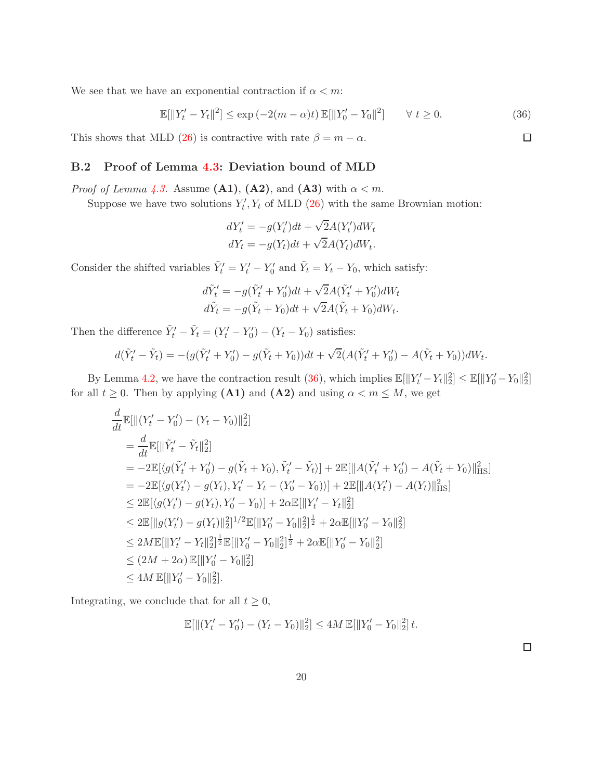We see that we have an exponential contraction if  $\alpha < m$ :

$$
\mathbb{E}[\|Y_t' - Y_t\|^2] \le \exp(-2(m - \alpha)t) \mathbb{E}[\|Y_0' - Y_0\|^2] \qquad \forall \ t \ge 0.
$$
 (36)

This shows that MLD [\(26\)](#page-9-1) is contractive with rate  $\beta = m - \alpha$ .

## B.2 Proof of Lemma [4.3:](#page-9-4) Deviation bound of MLD

*Proof of Lemma [4.3.](#page-9-4)* Assume  $(A1)$ ,  $(A2)$ , and  $(A3)$  with  $\alpha < m$ .

Suppose we have two solutions  $Y'_t, Y_t$  of MLD [\(26\)](#page-9-1) with the same Brownian motion:

$$
dY'_t = -g(Y'_t)dt + \sqrt{2}A(Y'_t)dW_t
$$
  

$$
dY_t = -g(Y_t)dt + \sqrt{2}A(Y_t)dW_t.
$$

Consider the shifted variables  $\tilde{Y}'_t = Y'_t - Y'_0$  and  $\tilde{Y}_t = Y_t - Y_0$ , which satisfy:

$$
d\tilde{Y}'_t = -g(\tilde{Y}'_t + Y'_0)dt + \sqrt{2}A(\tilde{Y}'_t + Y'_0)dW_t
$$
  

$$
d\tilde{Y}_t = -g(\tilde{Y}_t + Y_0)dt + \sqrt{2}A(\tilde{Y}_t + Y_0)dW_t.
$$

Then the difference  $\tilde{Y}'_t - \tilde{Y}_t = (Y'_t - Y'_0) - (Y_t - Y_0)$  satisfies:

$$
d(\tilde{Y}'_t - \tilde{Y}_t) = -(g(\tilde{Y}'_t + Y'_0) - g(\tilde{Y}_t + Y_0))dt + \sqrt{2}(A(\tilde{Y}'_t + Y'_0) - A(\tilde{Y}_t + Y_0))dW_t.
$$

By Lemma [4.2,](#page-9-3) we have the contraction result [\(36\)](#page-19-0), which implies  $\mathbb{E}[\|Y_t' - Y_t\|_2^2] \leq \mathbb{E}[\|Y_0' - Y_0\|_2^2]$ for all  $t \geq 0$ . Then by applying (A1) and (A2) and using  $\alpha < m \leq M$ , we get

$$
\frac{d}{dt}\mathbb{E}[\| (Y'_t - Y'_0) - (Y_t - Y_0)\|_2^2]
$$
\n  
\n
$$
= \frac{d}{dt}\mathbb{E}[\|\tilde{Y}'_t - \tilde{Y}_t\|_2^2]
$$
\n  
\n
$$
= -2\mathbb{E}[\langle g(\tilde{Y}'_t + Y'_0) - g(\tilde{Y}_t + Y_0), \tilde{Y}'_t - \tilde{Y}_t \rangle] + 2\mathbb{E}[\|A(\tilde{Y}'_t + Y'_0) - A(\tilde{Y}_t + Y_0)\|_{\text{HS}}^2]
$$
\n  
\n
$$
= -2\mathbb{E}[\langle g(Y'_t) - g(Y_t), Y'_t - Y_t - (Y'_0 - Y_0) \rangle] + 2\mathbb{E}[\|A(Y'_t) - A(Y_t)\|_{\text{HS}}^2]
$$
\n  
\n
$$
\leq 2\mathbb{E}[\langle g(Y'_t) - g(Y_t), Y'_0 - Y_0 \rangle] + 2\alpha \mathbb{E}[\|Y'_t - Y_t\|_2^2]
$$
\n  
\n
$$
\leq 2\mathbb{E}[\|g(Y'_t) - g(Y_t)\|_2^2]^{1/2}\mathbb{E}[\|Y'_0 - Y_0\|_2^2]^{\frac{1}{2}} + 2\alpha \mathbb{E}[\|Y'_0 - Y_0\|_2^2]
$$
\n  
\n
$$
\leq 2M\mathbb{E}[\|Y'_t - Y_t\|_2^2]^{\frac{1}{2}}\mathbb{E}[\|Y'_0 - Y_0\|_2^2]^{\frac{1}{2}} + 2\alpha \mathbb{E}[\|Y'_0 - Y_0\|_2^2]
$$
\n  
\n
$$
\leq (2M + 2\alpha)\mathbb{E}[\|Y'_0 - Y_0\|_2^2]
$$
\n  
\n
$$
\leq 4M\mathbb{E}[\|Y'_0 - Y_0\|_2^2].
$$

Integrating, we conclude that for all  $t \geq 0$ ,

$$
\mathbb{E}[\|(Y'_t - Y'_0) - (Y_t - Y_0)\|_2^2] \le 4M \mathbb{E}[\|Y'_0 - Y_0\|_2^2] t.
$$

 $\Box$ 

<span id="page-19-0"></span> $\Box$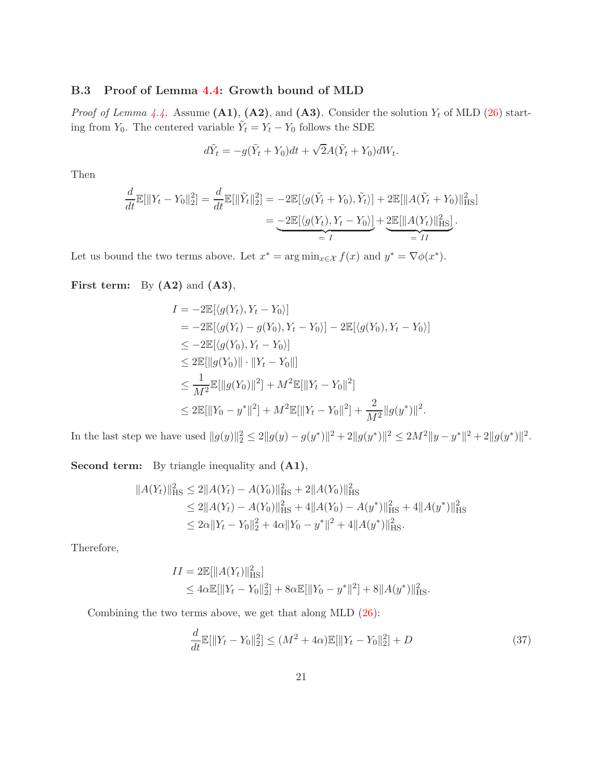## B.3 Proof of Lemma [4.4:](#page-10-3) Growth bound of MLD

*Proof of Lemma [4.4.](#page-10-3)* Assume  $(A1)$ ,  $(A2)$ , and  $(A3)$ . Consider the solution  $Y_t$  of MLD  $(26)$  starting from  $Y_0$ . The centered variable  $\tilde{Y}_t = Y_t - Y_0$  follows the SDE

$$
d\tilde{Y}_t = -g(\tilde{Y}_t + Y_0)dt + \sqrt{2}A(\tilde{Y}_t + Y_0)dW_t.
$$

Then

$$
\frac{d}{dt}\mathbb{E}[\|Y_t - Y_0\|_2^2] = \frac{d}{dt}\mathbb{E}[\|\tilde{Y}_t\|_2^2] = -2\mathbb{E}[\langle g(\tilde{Y}_t + Y_0), \tilde{Y}_t \rangle] + 2\mathbb{E}[\|A(\tilde{Y}_t + Y_0)\|_{\text{HS}}^2]
$$
\n
$$
= -2\mathbb{E}[\langle g(Y_t), Y_t - Y_0 \rangle] + 2\mathbb{E}[\|A(Y_t)\|_{\text{HS}}^2].
$$

Let us bound the two terms above. Let  $x^* = \arg \min_{x \in \mathcal{X}} f(x)$  and  $y^* = \nabla \phi(x^*)$ .

First term: By  $(A2)$  and  $(A3)$ ,

$$
I = -2\mathbb{E}[\langle g(Y_t), Y_t - Y_0 \rangle]
$$
  
\n
$$
= -2\mathbb{E}[\langle g(Y_t) - g(Y_0), Y_t - Y_0 \rangle] - 2\mathbb{E}[\langle g(Y_0), Y_t - Y_0 \rangle]
$$
  
\n
$$
\leq -2\mathbb{E}[\langle g(Y_0), Y_t - Y_0 \rangle]
$$
  
\n
$$
\leq 2\mathbb{E}[\|g(Y_0)\| \cdot \|Y_t - Y_0\|]
$$
  
\n
$$
\leq \frac{1}{M^2} \mathbb{E}[\|g(Y_0)\|^2] + M^2 \mathbb{E}[\|Y_t - Y_0\|^2]
$$
  
\n
$$
\leq 2\mathbb{E}[\|Y_0 - y^*\|^2] + M^2 \mathbb{E}[\|Y_t - Y_0\|^2] + \frac{2}{M^2} \|g(y^*)\|^2.
$$

In the last step we have used  $||g(y)||_2^2 \le 2||g(y) - g(y^*)||^2 + 2||g(y^*)||^2 \le 2M^2||y - y^*||^2 + 2||g(y^*)||^2$ .

Second term: By triangle inequality and  $(A1)$ ,

$$
||A(Y_t)||_{\text{HS}}^2 \le 2||A(Y_t) - A(Y_0)||_{\text{HS}}^2 + 2||A(Y_0)||_{\text{HS}}^2
$$
  
\n
$$
\le 2||A(Y_t) - A(Y_0)||_{\text{HS}}^2 + 4||A(Y_0) - A(y^*)||_{\text{HS}}^2 + 4||A(y^*)||_{\text{HS}}^2
$$
  
\n
$$
\le 2\alpha||Y_t - Y_0||_2^2 + 4\alpha||Y_0 - y^*||^2 + 4||A(y^*)||_{\text{HS}}^2.
$$

Therefore,

$$
II = 2\mathbb{E}[\|A(Y_t)\|_{\text{HS}}^2]
$$
  
\n
$$
\leq 4\alpha \mathbb{E}[\|Y_t - Y_0\|_2^2] + 8\alpha \mathbb{E}[\|Y_0 - y^*\|^2] + 8\|A(y^*)\|_{\text{HS}}^2.
$$

Combining the two terms above, we get that along MLD [\(26\)](#page-9-1):

<span id="page-20-0"></span>
$$
\frac{d}{dt}\mathbb{E}[\|Y_t - Y_0\|_2^2] \le (M^2 + 4\alpha)\mathbb{E}[\|Y_t - Y_0\|_2^2] + D \tag{37}
$$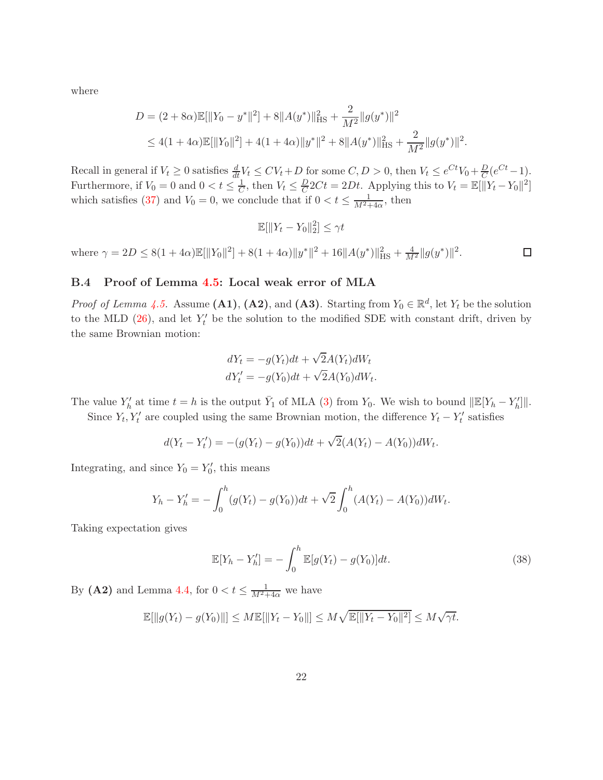where

$$
D = (2 + 8\alpha)\mathbb{E}[\|Y_0 - y^*\|^2] + 8\|A(y^*)\|_{\text{HS}}^2 + \frac{2}{M^2}\|g(y^*)\|^2
$$
  
\$\leq 4(1 + 4\alpha)\mathbb{E}[\|Y\_0\|^2] + 4(1 + 4\alpha)\|y^\*\|^2 + 8\|A(y^\*)\|\_{\text{HS}}^2 + \frac{2}{M^2}\|g(y^\*)\|^2\$.

Recall in general if  $V_t \geq 0$  satisfies  $\frac{d}{dt} V_t \leq CV_t + D$  for some  $C, D > 0$ , then  $V_t \leq e^{Ct} V_0 + \frac{D}{C} (e^{Ct} - 1)$ . Furthermore, if  $V_0 = 0$  and  $0 < t \leq \frac{1}{C}$  $\frac{1}{C}$ , then  $V_t \leq \frac{D}{C}$  $\frac{D}{C}2Ct = 2Dt$ . Applying this to  $V_t = \mathbb{E}[\|Y_t - Y_0\|^2]$ which satisfies [\(37\)](#page-20-0) and  $V_0 = 0$ , we conclude that if  $0 < t \leq \frac{1}{M^2 + 4\alpha}$ , then

$$
\mathbb{E}[\|Y_t - Y_0\|_2^2] \le \gamma t
$$

where  $\gamma = 2D \le 8(1 + 4\alpha)\mathbb{E}[\|Y_0\|^2] + 8(1 + 4\alpha)\|y^*\|^2 + 16\|A(y^*)\|_{\text{HS}}^2 + \frac{4}{M^2}\|g(y^*)\|^2.$  $\Box$ 

## B.4 Proof of Lemma [4.5:](#page-10-1) Local weak error of MLA

*Proof of Lemma [4.5.](#page-10-1)* Assume (A1), (A2), and (A3). Starting from  $Y_0 \in \mathbb{R}^d$ , let  $Y_t$  be the solution to the MLD  $(26)$ , and let  $Y'_t$  be the solution to the modified SDE with constant drift, driven by the same Brownian motion:

$$
dY_t = -g(Y_t)dt + \sqrt{2}A(Y_t)dW_t
$$
  

$$
dY'_t = -g(Y_0)dt + \sqrt{2}A(Y_0)dW_t.
$$

The value  $Y'_{h}$  at time  $t = h$  is the output  $\bar{Y}_1$  of MLA [\(3\)](#page-3-1) from  $Y_0$ . We wish to bound  $\|\mathbb{E}[Y_h - Y'_h]\|$ .

Since  $Y_t, Y_t'$  are coupled using the same Brownian motion, the difference  $Y_t - Y_t'$  satisfies

$$
d(Y_t - Y'_t) = -(g(Y_t) - g(Y_0))dt + \sqrt{2}(A(Y_t) - A(Y_0))dW_t.
$$

Integrating, and since  $Y_0 = Y'_0$ , this means

$$
Y_h - Y'_h = -\int_0^h (g(Y_t) - g(Y_0))dt + \sqrt{2}\int_0^h (A(Y_t) - A(Y_0))dW_t.
$$

Taking expectation gives

<span id="page-21-0"></span>
$$
\mathbb{E}[Y_h - Y'_h] = -\int_0^h \mathbb{E}[g(Y_t) - g(Y_0)]dt.
$$
\n(38)

By (A2) and Lemma [4.4,](#page-10-3) for  $0 < t \leq \frac{1}{M^2 + 4\alpha}$  we have

$$
\mathbb{E}[\|g(Y_t) - g(Y_0)\|] \le M \mathbb{E}[\|Y_t - Y_0\|] \le M \sqrt{\mathbb{E}[\|Y_t - Y_0\|^2]} \le M \sqrt{\gamma t}.
$$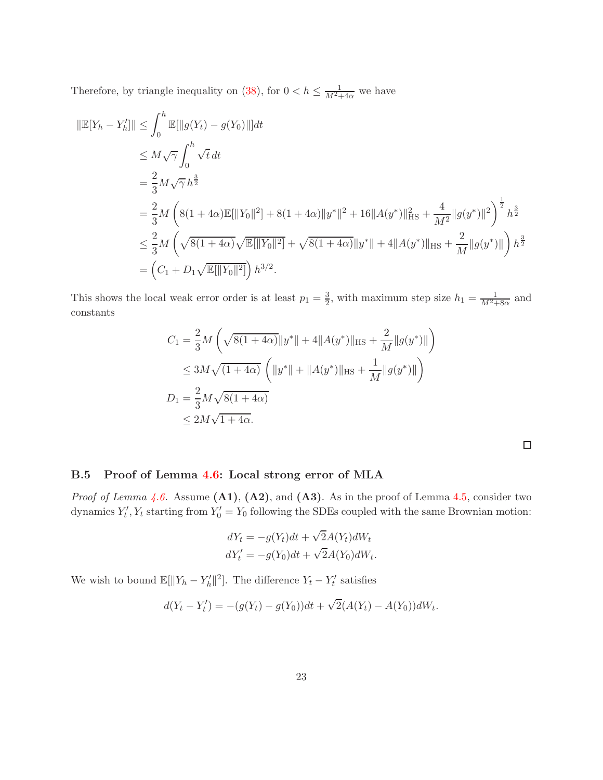Therefore, by triangle inequality on [\(38\)](#page-21-0), for  $0 < h \leq \frac{1}{M^2 + 4\alpha}$  we have

$$
\|\mathbb{E}[Y_h - Y_h']\| \leq \int_0^h \mathbb{E}[\|g(Y_t) - g(Y_0)\|]dt
$$
  
\n
$$
\leq M \sqrt{\gamma} \int_0^h \sqrt{t} dt
$$
  
\n
$$
= \frac{2}{3} M \sqrt{\gamma} h^{\frac{3}{2}}
$$
  
\n
$$
= \frac{2}{3} M \left( 8(1 + 4\alpha) \mathbb{E}[\|Y_0\|^2] + 8(1 + 4\alpha) \|y^*\|^2 + 16 \|A(y^*)\|_{\text{HS}}^2 + \frac{4}{M^2} \|g(y^*)\|^2 \right)^{\frac{1}{2}} h^{\frac{3}{2}}
$$
  
\n
$$
\leq \frac{2}{3} M \left( \sqrt{8(1 + 4\alpha)} \sqrt{\mathbb{E}[\|Y_0\|^2]} + \sqrt{8(1 + 4\alpha)} \|y^*\| + 4 \|A(y^*)\|_{\text{HS}} + \frac{2}{M} \|g(y^*)\| \right) h^{\frac{3}{2}}
$$
  
\n
$$
= \left( C_1 + D_1 \sqrt{\mathbb{E}[\|Y_0\|^2]} \right) h^{3/2}.
$$

This shows the local weak error order is at least  $p_1 = \frac{3}{2}$  $\frac{3}{2}$ , with maximum step size  $h_1 = \frac{1}{M^2 + 8\alpha}$  and constants

$$
C_1 = \frac{2}{3}M\left(\sqrt{8(1+4\alpha)}\|y^*\| + 4\|A(y^*)\|_{\text{HS}} + \frac{2}{M}\|g(y^*)\|\right)
$$
  
\n
$$
\leq 3M\sqrt{(1+4\alpha)}\left(\|y^*\| + \|A(y^*)\|_{\text{HS}} + \frac{1}{M}\|g(y^*)\|\right)
$$
  
\n
$$
D_1 = \frac{2}{3}M\sqrt{8(1+4\alpha)}
$$
  
\n
$$
\leq 2M\sqrt{1+4\alpha}.
$$

 $\Box$ 

## B.5 Proof of Lemma [4.6:](#page-10-2) Local strong error of MLA

*Proof of Lemma [4.6.](#page-10-2)* Assume  $(A1)$ ,  $(A2)$ , and  $(A3)$ . As in the proof of Lemma [4.5,](#page-10-1) consider two dynamics  $Y'_t, Y_t$  starting from  $Y'_0 = Y_0$  following the SDEs coupled with the same Brownian motion:

$$
dY_t = -g(Y_t)dt + \sqrt{2}A(Y_t)dW_t
$$
  

$$
dY'_t = -g(Y_0)dt + \sqrt{2}A(Y_0)dW_t.
$$

We wish to bound  $\mathbb{E}[\|Y_h - Y_h'\|^2]$ . The difference  $Y_t - Y_t'$  satisfies

$$
d(Y_t - Y'_t) = -(g(Y_t) - g(Y_0))dt + \sqrt{2}(A(Y_t) - A(Y_0))dW_t.
$$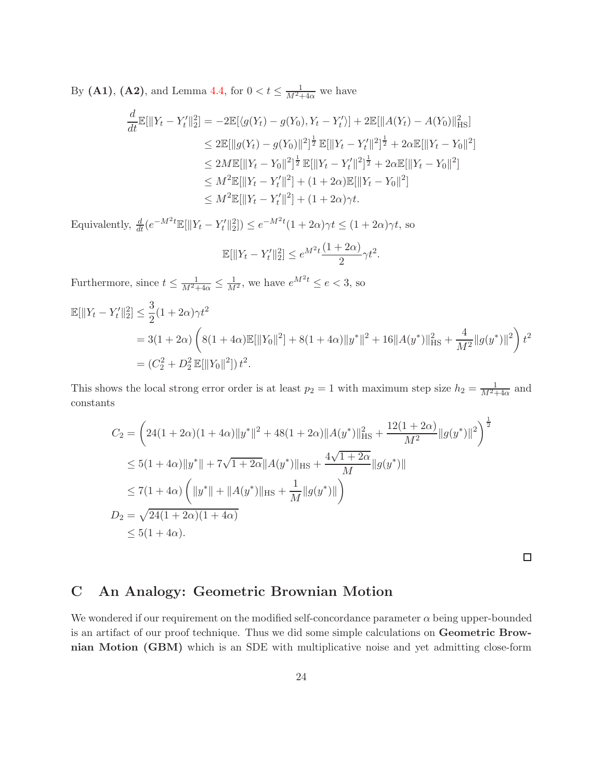By (A1), (A2), and Lemma [4.4,](#page-10-3) for  $0 < t \leq \frac{1}{M^2+4\alpha}$  we have

$$
\frac{d}{dt}\mathbb{E}[\|Y_t - Y'_t\|_2^2] = -2\mathbb{E}[\langle g(Y_t) - g(Y_0), Y_t - Y'_t \rangle] + 2\mathbb{E}[\|A(Y_t) - A(Y_0)\|_{\text{HS}}^2]
$$
\n
$$
\leq 2\mathbb{E}[\|g(Y_t) - g(Y_0)\|^2]^{\frac{1}{2}}\mathbb{E}[\|Y_t - Y'_t\|^2]^{\frac{1}{2}} + 2\alpha \mathbb{E}[\|Y_t - Y_0\|^2]
$$
\n
$$
\leq 2M\mathbb{E}[\|Y_t - Y_0\|^2]^{\frac{1}{2}}\mathbb{E}[\|Y_t - Y'_t\|^2]^{\frac{1}{2}} + 2\alpha \mathbb{E}[\|Y_t - Y_0\|^2]
$$
\n
$$
\leq M^2\mathbb{E}[\|Y_t - Y'_t\|^2] + (1 + 2\alpha)\mathbb{E}[\|Y_t - Y_0\|^2]
$$
\n
$$
\leq M^2\mathbb{E}[\|Y_t - Y'_t\|^2] + (1 + 2\alpha)\gamma t.
$$

Equivalently,  $\frac{d}{dt}(e^{-M^2t}\mathbb{E}[\|Y_t - Y_t'\|_2^2]) \leq e^{-M^2t}(1+2\alpha)\gamma t \leq (1+2\alpha)\gamma t$ , so

$$
\mathbb{E}[\|Y_t - Y'_t\|_2^2] \le e^{M^2 t} \frac{(1+2\alpha)}{2} \gamma t^2.
$$

Furthermore, since  $t \leq \frac{1}{M^2+4\alpha} \leq \frac{1}{M^2}$ , we have  $e^{M^2t} \leq e < 3$ , so

$$
\mathbb{E}[\|Y_t - Y'_t\|_2^2] \le \frac{3}{2} (1 + 2\alpha)\gamma t^2
$$
  
= 3(1 + 2\alpha) \left( 8(1 + 4\alpha)\mathbb{E}[\|Y\_0\|^2] + 8(1 + 4\alpha)\|y^\*\|^2 + 16\|A(y^\*)\|\_{\text{HS}}^2 + \frac{4}{M^2} \|g(y^\*)\|^2 \right) t^2  
= (C\_2^2 + D\_2^2 \mathbb{E}[\|Y\_0\|^2]) t^2.

This shows the local strong error order is at least  $p_2 = 1$  with maximum step size  $h_2 = \frac{1}{M^2+4\alpha}$  and constants

$$
C_2 = \left(24(1+2\alpha)(1+4\alpha)\|y^*\|^2 + 48(1+2\alpha)\|A(y^*)\|_{\text{HS}}^2 + \frac{12(1+2\alpha)}{M^2}\|g(y^*)\|^2\right)^{\frac{1}{2}}
$$
  
\n
$$
\leq 5(1+4\alpha)\|y^*\| + 7\sqrt{1+2\alpha}\|A(y^*)\|_{\text{HS}} + \frac{4\sqrt{1+2\alpha}}{M}\|g(y^*)\|
$$
  
\n
$$
\leq 7(1+4\alpha)\left(\|y^*\| + \|A(y^*)\|_{\text{HS}} + \frac{1}{M}\|g(y^*)\|\right)
$$
  
\n
$$
D_2 = \sqrt{24(1+2\alpha)(1+4\alpha)}
$$
  
\n
$$
\leq 5(1+4\alpha).
$$

 $\Box$ 

# <span id="page-23-0"></span>C An Analogy: Geometric Brownian Motion

We wondered if our requirement on the modified self-concordance parameter  $\alpha$  being upper-bounded is an artifact of our proof technique. Thus we did some simple calculations on Geometric Brownian Motion (GBM) which is an SDE with multiplicative noise and yet admitting close-form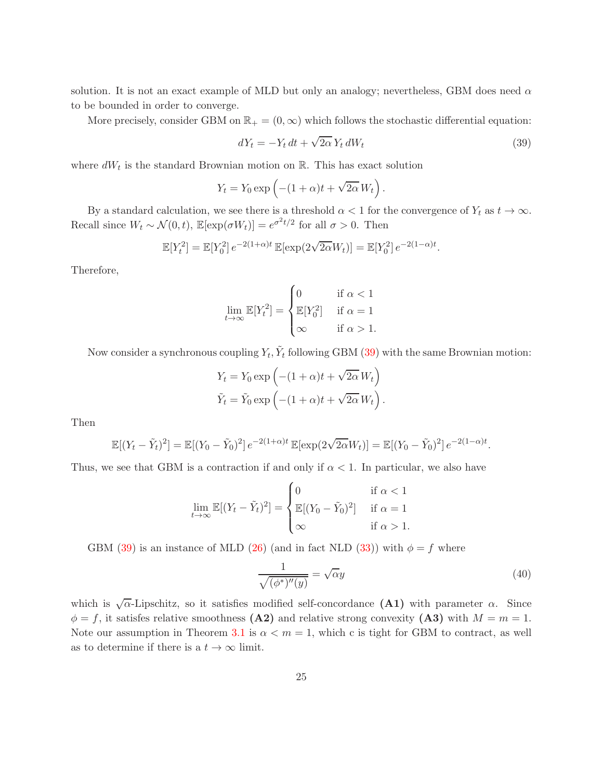solution. It is not an exact example of MLD but only an analogy; nevertheless, GBM does need  $\alpha$ to be bounded in order to converge.

More precisely, consider GBM on  $\mathbb{R}_+ = (0, \infty)$  which follows the stochastic differential equation:

<span id="page-24-0"></span>
$$
dY_t = -Y_t dt + \sqrt{2\alpha} Y_t dW_t
$$
\n(39)

where  $dW_t$  is the standard Brownian motion on  $\mathbb{R}$ . This has exact solution

$$
Y_t = Y_0 \exp\left(-(1+\alpha)t + \sqrt{2\alpha} W_t\right).
$$

By a standard calculation, we see there is a threshold  $\alpha < 1$  for the convergence of  $Y_t$  as  $t \to \infty$ . Recall since  $W_t \sim \mathcal{N}(0, t)$ ,  $\mathbb{E}[\exp(\sigma W_t)] = e^{\sigma^2 t/2}$  for all  $\sigma > 0$ . Then

$$
\mathbb{E}[Y_t^2] = \mathbb{E}[Y_0^2] e^{-2(1+\alpha)t} \mathbb{E}[\exp(2\sqrt{2\alpha}W_t)] = \mathbb{E}[Y_0^2] e^{-2(1-\alpha)t}.
$$

Therefore,

$$
\lim_{t \to \infty} \mathbb{E}[Y_t^2] = \begin{cases} 0 & \text{if } \alpha < 1 \\ \mathbb{E}[Y_0^2] & \text{if } \alpha = 1 \\ \infty & \text{if } \alpha > 1. \end{cases}
$$

Now consider a synchronous coupling  $Y_t$ ,  $\tilde{Y}_t$  following GBM [\(39\)](#page-24-0) with the same Brownian motion:

$$
Y_t = Y_0 \exp\left(-(1+\alpha)t + \sqrt{2\alpha} W_t\right)
$$
  

$$
\tilde{Y}_t = \tilde{Y}_0 \exp\left(-(1+\alpha)t + \sqrt{2\alpha} W_t\right).
$$

Then

$$
\mathbb{E}[(Y_t - \tilde{Y}_t)^2] = \mathbb{E}[(Y_0 - \tilde{Y}_0)^2] e^{-2(1+\alpha)t} \mathbb{E}[\exp(2\sqrt{2\alpha}W_t)] = \mathbb{E}[(Y_0 - \tilde{Y}_0)^2] e^{-2(1-\alpha)t}.
$$

Thus, we see that GBM is a contraction if and only if  $\alpha < 1$ . In particular, we also have

$$
\lim_{t \to \infty} \mathbb{E}[(Y_t - \tilde{Y}_t)^2] = \begin{cases} 0 & \text{if } \alpha < 1 \\ \mathbb{E}[(Y_0 - \tilde{Y}_0)^2] & \text{if } \alpha = 1 \\ \infty & \text{if } \alpha > 1. \end{cases}
$$

GBM [\(39\)](#page-24-0) is an instance of MLD [\(26\)](#page-9-1) (and in fact NLD [\(33\)](#page-18-4)) with  $\phi = f$  where

$$
\frac{1}{\sqrt{(\phi^*)''(y)}} = \sqrt{\alpha}y\tag{40}
$$

which is  $\sqrt{\alpha}$ -Lipschitz, so it satisfies modified self-concordance (A1) with parameter  $\alpha$ . Since  $\phi = f$ , it satisfes relative smoothness (A2) and relative strong convexity (A3) with  $M = m = 1$ . Note our assumption in Theorem [3.1](#page-5-0) is  $\alpha < m = 1$ , which c is tight for GBM to contract, as well as to determine if there is a  $t \to \infty$  limit.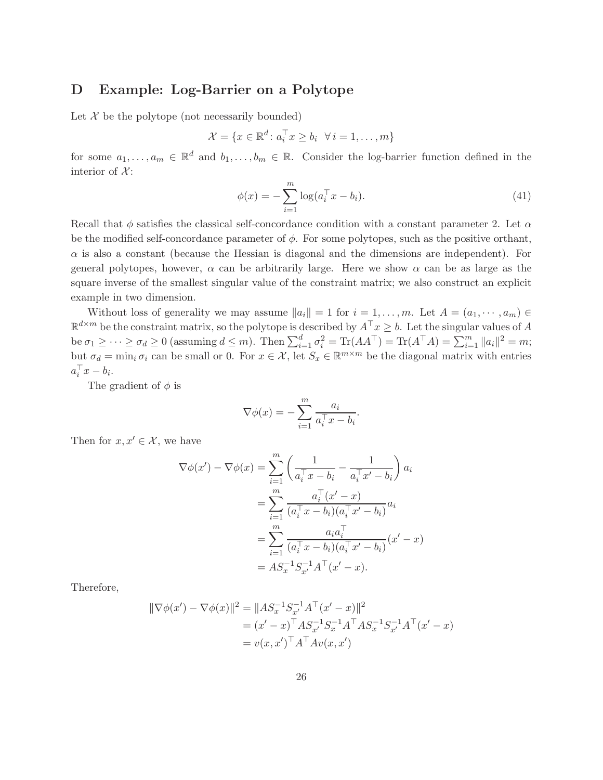## <span id="page-25-0"></span>D Example: Log-Barrier on a Polytope

Let  $\mathcal X$  be the polytope (not necessarily bounded)

$$
\mathcal{X} = \{x \in \mathbb{R}^d \colon a_i^\top x \ge b_i \quad \forall \, i = 1, \dots, m\}
$$

for some  $a_1, \ldots, a_m \in \mathbb{R}^d$  and  $b_1, \ldots, b_m \in \mathbb{R}$ . Consider the log-barrier function defined in the interior of  $\mathcal{X}$ :

$$
\phi(x) = -\sum_{i=1}^{m} \log(a_i^{\top} x - b_i).
$$
\n(41)

Recall that  $\phi$  satisfies the classical self-concordance condition with a constant parameter 2. Let  $\alpha$ be the modified self-concordance parameter of  $\phi$ . For some polytopes, such as the positive orthant,  $\alpha$  is also a constant (because the Hessian is diagonal and the dimensions are independent). For general polytopes, however,  $\alpha$  can be arbitrarily large. Here we show  $\alpha$  can be as large as the square inverse of the smallest singular value of the constraint matrix; we also construct an explicit example in two dimension.

Without loss of generality we may assume  $||a_i|| = 1$  for  $i = 1, \ldots, m$ . Let  $A = (a_1, \cdots, a_m) \in$  $\mathbb{R}^{d \times m}$  be the constraint matrix, so the polytope is described by  $A^{\top}x \geq b$ . Let the singular values of A be  $\sigma_1 \geq \cdots \geq \sigma_d \geq 0$  (assuming  $d \leq m$ ). Then  $\sum_{i=1}^d \sigma_i^2 = \text{Tr}(AA^{\top}) = \text{Tr}(A^{\top}A) = \sum_{i=1}^m ||a_i||^2 = m$ ; but  $\sigma_d = \min_i \sigma_i$  can be small or 0. For  $x \in \mathcal{X}$ , let  $S_x \in \mathbb{R}^{m \times m}$  be the diagonal matrix with entries  $a_i^{\dagger} x - b_i.$ 

The gradient of  $\phi$  is

$$
\nabla \phi(x) = -\sum_{i=1}^{m} \frac{a_i}{a_i^{\top} x - b_i}.
$$

Then for  $x, x' \in \mathcal{X}$ , we have

$$
\nabla \phi(x') - \nabla \phi(x) = \sum_{i=1}^{m} \left( \frac{1}{a_i^{\top} x - b_i} - \frac{1}{a_i^{\top} x' - b_i} \right) a_i
$$
  
= 
$$
\sum_{i=1}^{m} \frac{a_i^{\top} (x' - x)}{(a_i^{\top} x - b_i)(a_i^{\top} x' - b_i)} a_i
$$
  
= 
$$
\sum_{i=1}^{m} \frac{a_i a_i^{\top}}{(a_i^{\top} x - b_i)(a_i^{\top} x' - b_i)} (x' - x)
$$
  
= 
$$
AS_x^{-1} S_{x'}^{-1} A^{\top} (x' - x).
$$

Therefore,

$$
\|\nabla \phi(x') - \nabla \phi(x)\|^2 = \|AS_x^{-1} S_{x'}^{-1} A^\top (x' - x)\|^2
$$
  
=  $(x' - x)^\top AS_{x'}^{-1} S_x^{-1} A^\top AS_x^{-1} S_{x'}^{-1} A^\top (x' - x)$   
=  $v(x, x')^\top A^\top Av(x, x')$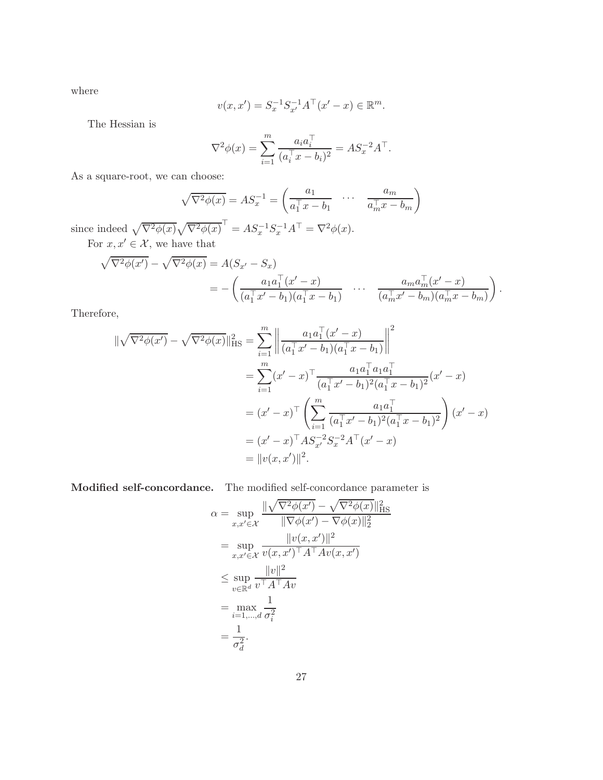where

$$
v(x, x') = S_x^{-1} S_{x'}^{-1} A^{\top} (x' - x) \in \mathbb{R}^m.
$$

The Hessian is

$$
\nabla^2 \phi(x) = \sum_{i=1}^m \frac{a_i a_i^{\top}}{(a_i^{\top} x - b_i)^2} = A S_x^{-2} A^{\top}.
$$

As a square-root, we can choose:

$$
\sqrt{\nabla^2 \phi(x)} = A S_x^{-1} = \begin{pmatrix} a_1 & \cdots & a_m \\ \overline{a_1^\top x - b_1} & \cdots & \overline{a_m^\top x - b_m} \end{pmatrix}
$$

since indeed  $\sqrt{\nabla^2 \phi(x)} \sqrt{\nabla^2 \phi(x)}^{\mathsf{T}} = A S_x^{-1} S_x^{-1} A^{\mathsf{T}} = \nabla^2 \phi(x)$ . For  $x, x' \in \mathcal{X}$ , we have that

$$
\sqrt{\nabla^2 \phi(x')} - \sqrt{\nabla^2 \phi(x)} = A(S_{x'} - S_x)
$$
  
= 
$$
- \left( \frac{a_1 a_1^\top (x' - x)}{(a_1^\top x' - b_1)(a_1^\top x - b_1)} \cdots \frac{a_m a_m^\top (x' - x)}{(a_m^\top x' - b_m)(a_m^\top x - b_m)} \right)
$$

.

Therefore,

$$
\begin{split} \|\sqrt{\nabla^{2}\phi(x')} - \sqrt{\nabla^{2}\phi(x)}\|_{\text{HS}}^{2} &= \sum_{i=1}^{m} \left\| \frac{a_{1}a_{1}^{\top}(x'-x)}{(a_{1}^{\top}x'-b_{1})(a_{1}^{\top}x-b_{1})} \right\|^{2} \\ &= \sum_{i=1}^{m} (x'-x)^{\top} \frac{a_{1}a_{1}^{\top}a_{1}a_{1}^{\top}}{(a_{1}^{\top}x'-b_{1})^{2}(a_{1}^{\top}x-b_{1})^{2}}(x'-x) \\ &= (x'-x)^{\top} \left( \sum_{i=1}^{m} \frac{a_{1}a_{1}^{\top}}{(a_{1}^{\top}x'-b_{1})^{2}(a_{1}^{\top}x-b_{1})^{2}} \right)(x'-x) \\ &= (x'-x)^{\top} A S_{x'}^{-2} S_{x}^{-2} A^{\top}(x'-x) \\ &= \|v(x,x')\|^{2} .\end{split}
$$

Modified self-concordance. The modified self-concordance parameter is

$$
\alpha = \sup_{x,x'\in\mathcal{X}} \frac{\|\sqrt{\nabla^2 \phi(x')}-\sqrt{\nabla^2 \phi(x)}\|_{\text{HS}}^2}{\|\nabla \phi(x')-\nabla \phi(x)\|_2^2}
$$
  
\n
$$
= \sup_{x,x'\in\mathcal{X}} \frac{\|v(x,x')\|^2}{v(x,x')^\top A^\top A v(x,x')}
$$
  
\n
$$
\leq \sup_{v\in\mathbb{R}^d} \frac{\|v\|^2}{v^\top A^\top A v}
$$
  
\n
$$
= \max_{i=1,\dots,d} \frac{1}{\sigma_i^2}
$$
  
\n
$$
= \frac{1}{\sigma_d^2}.
$$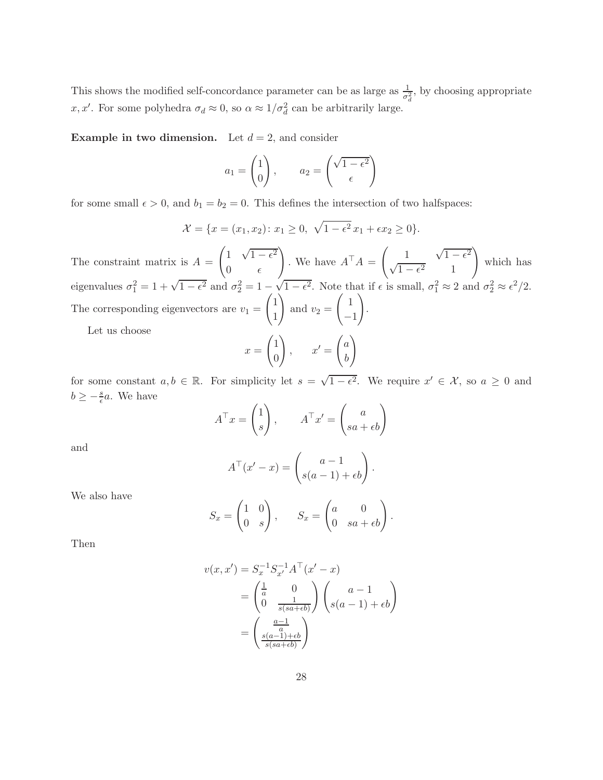This shows the modified self-concordance parameter can be as large as  $\frac{1}{\sigma_d^2}$ , by choosing appropriate x, x'. For some polyhedra  $\sigma_d \approx 0$ , so  $\alpha \approx 1/\sigma_d^2$  can be arbitrarily large.

**Example in two dimension.** Let  $d = 2$ , and consider

$$
a_1 = \begin{pmatrix} 1 \\ 0 \end{pmatrix}, \qquad a_2 = \begin{pmatrix} \sqrt{1 - \epsilon^2} \\ \epsilon \end{pmatrix}
$$

for some small  $\epsilon > 0$ , and  $b_1 = b_2 = 0$ . This defines the intersection of two halfspaces:

$$
\mathcal{X} = \{x = (x_1, x_2) \colon x_1 \ge 0, \sqrt{1 - \epsilon^2} x_1 + \epsilon x_2 \ge 0\}.
$$

The constraint matrix is  $A =$  $\left(1 \quad \sqrt{1-\epsilon^2}\right)$ 0  $\epsilon$  $\setminus$ . We have  $A^{\dagger} A =$  $\left( \begin{array}{cc} 1 & \sqrt{1-\epsilon^2} \end{array} \right)$  $\sqrt{1-\epsilon^2}$  1  $\setminus$ which has eigenvalues  $\sigma_1^2 = 1 + \sqrt{1 - \epsilon^2}$  and  $\sigma_2^2 = 1 - \sqrt{1 - \epsilon^2}$ . Note that if  $\epsilon$  is small,  $\sigma_1^2 \approx 2$  and  $\sigma_2^2 \approx \epsilon^2/2$ . The corresponding eigenvectors are  $v_1 =$  $\sqrt{1}$ 1  $\setminus$ and  $v_2 =$  $\begin{pmatrix} 1 \end{pmatrix}$ −1  $\setminus$ . Let us choose

$$
x = \begin{pmatrix} 1 \\ 0 \end{pmatrix}, \qquad x' = \begin{pmatrix} a \\ b \end{pmatrix}
$$

for some constant  $a, b \in \mathbb{R}$ . For simplicity let  $s = \sqrt{1 - \epsilon^2}$ . We require  $x' \in \mathcal{X}$ , so  $a \geq 0$  and  $b \geq -\frac{s}{\epsilon}a$ . We have

$$
A^{\top} x = \begin{pmatrix} 1 \\ s \end{pmatrix}, \qquad A^{\top} x' = \begin{pmatrix} a \\ sa + \epsilon b \end{pmatrix}
$$

and

$$
A^{\top}(x'-x) = \begin{pmatrix} a-1 \\ s(a-1)+\epsilon b \end{pmatrix}.
$$

We also have

$$
S_x = \begin{pmatrix} 1 & 0 \\ 0 & s \end{pmatrix}, \qquad S_x = \begin{pmatrix} a & 0 \\ 0 & sa + \epsilon b \end{pmatrix}.
$$

Then

$$
v(x, x') = S_x^{-1} S_{x'}^{-1} A^{\top} (x' - x)
$$
  
=  $\begin{pmatrix} \frac{1}{a} & 0 \\ 0 & \frac{1}{s(sa + \epsilon b)} \end{pmatrix} \begin{pmatrix} a - 1 \\ s(a - 1) + \epsilon b \end{pmatrix}$   
=  $\begin{pmatrix} \frac{a - 1}{a} \\ \frac{s(a - 1) + \epsilon b}{s(sa + \epsilon b)} \end{pmatrix}$